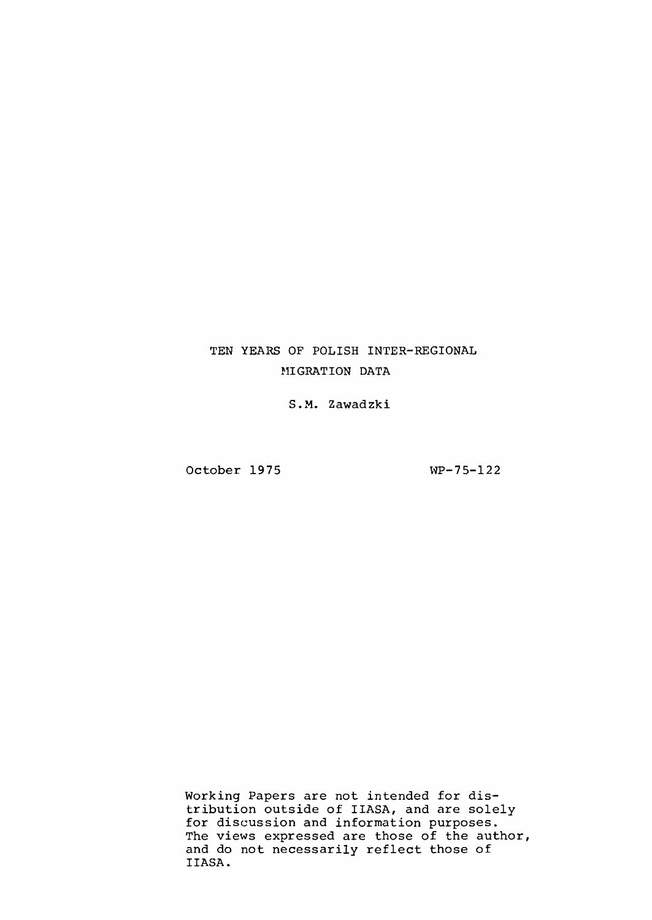# TEN YEARS OF POLISH INTER-REGIONAL MIGRATION DATA

S.M. Zawadzki

October 1975 **WP-75-122** 

Working Papers are not intended for distribution outside of IIASA, and are solely for discussion and information purposes. The views expressed are those of the author, and do not necessarily reflect those of IIASA.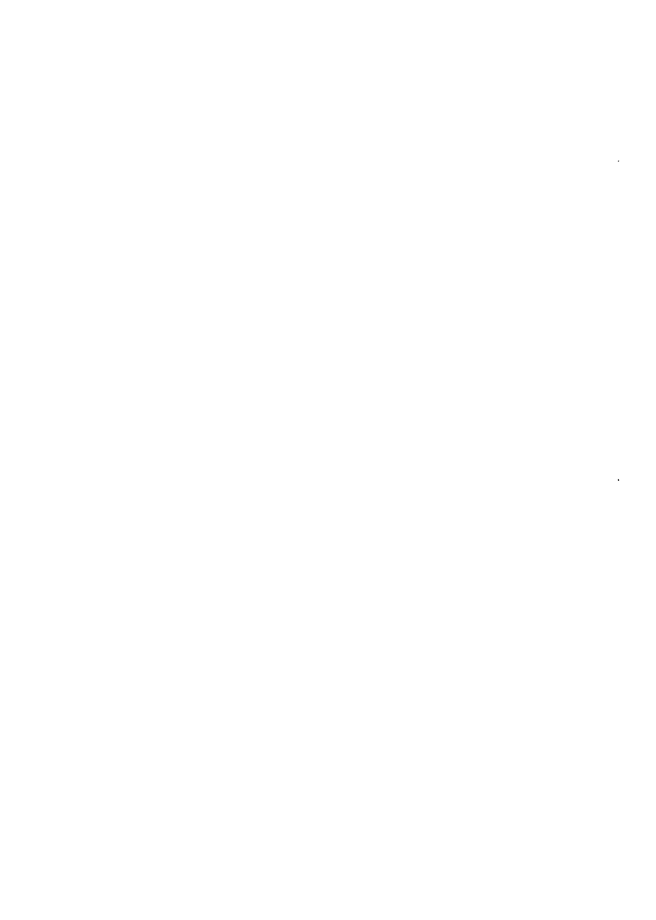$\epsilon$  $\star$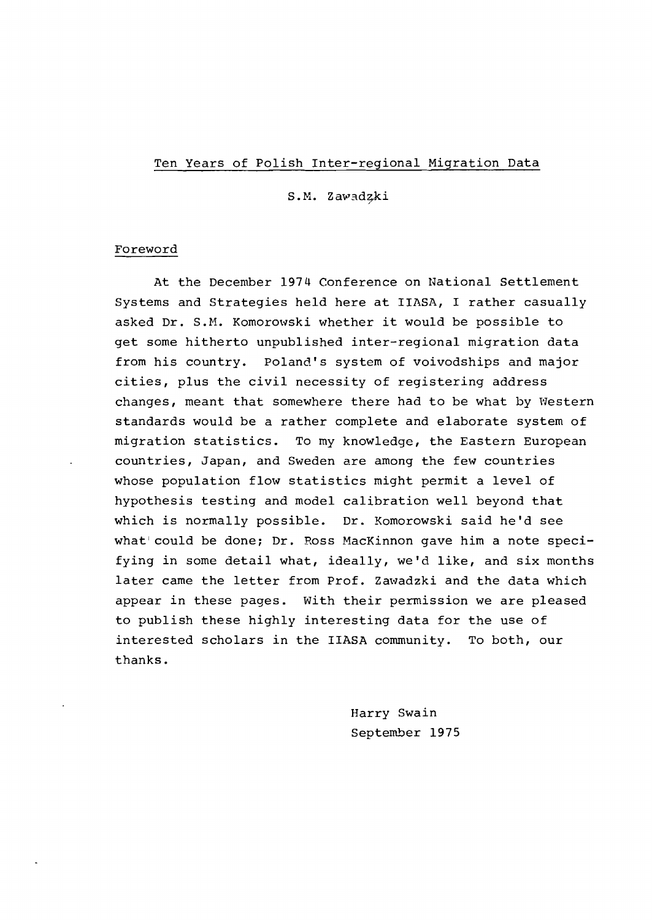#### Ten Years of Polish Inter-regional Migration Data

## S.M. Zawadzki

#### Foreword

At the December 1974 Conference on National Settlement Systems and Strategies held here at IIASA, <sup>I</sup> rather casually asked Dr. S.M. Komorowski whether it would be possible to get some hitherto unpublished inter-regional migration data from his country. Poland's system of voivodships and major cities, plus the civil necessity of registering address changes, meant that somewhere there had to be what by Western standards would be a rather complete and elaborate system of migration statistics. To my knowledge, the Eastern European countries, Japan, and Sweden are among the few countries whose population flow statistics might permit <sup>a</sup> level of hypothesis testing and model calibration well beyond that which is normally possible. Dr. Komorowski said he'd see what could be done; Dr. Ross MacKinnon gave him a note specifying in some detail what, ideally, we'd like, and six months later came the letter from Prof. Zawadzki and the data which appear in these pages. With their permission we are pleased to publish these highly interesting data for the use of interested scholars in the IIASA community. To both, our thanks.

> Harry Swain September 1975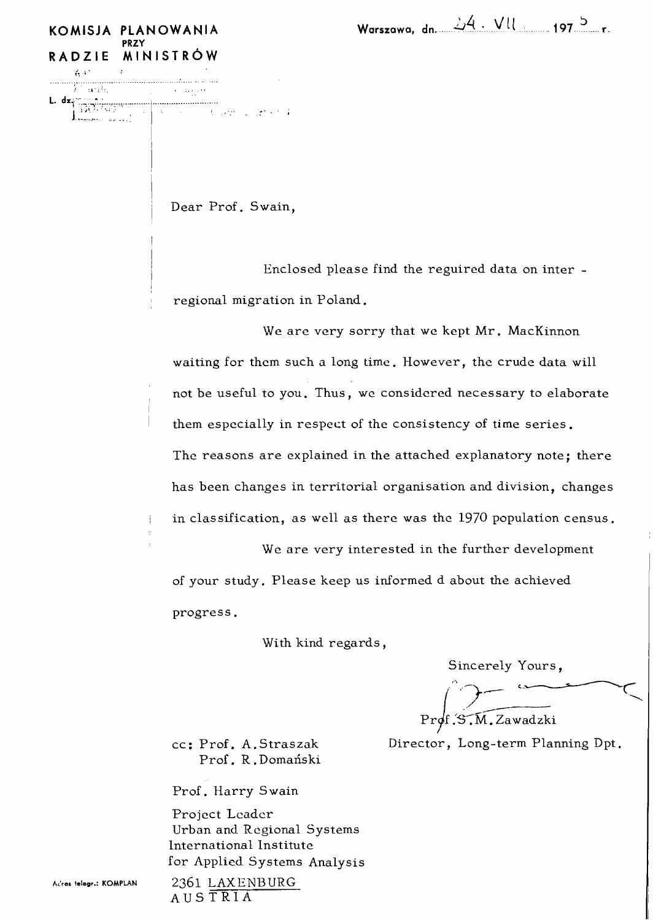**Warszawa,** dn....  $\frac{1}{4}A \cdot \frac{1}{10}$ .... 197.<sup>5</sup>

## **KOMISJA PlANOWANIA PRZY RADZIE MINISTROW**

 $\mathbf{r}$  .  $\overline{T}$  and  $\overline{t}_0$  $-12.9 - 13$ L. dz. **TATUNIA All Service Contractor**  $\int_{0}^{2\pi} \frac{f(x)}{x^2} dx = \frac{1}{2} \int_{0}^{2\pi} \frac{f(x)}{x^2} dx$ 

Dear Prof. Swain,

Enclosed please find the reguired data on inter regional migration in Poland.

We are very sorry that we kept Mr. MacKinnon waiting for them such a long time. However, the crude data will not be useful to you. Thus, we considered necessary to elaborate them especially in respect of the consistency of time series. The reasons are explained in the attached explanatory note; there has been changes in territorial organisation and division, changes in classification, as well as there was the 1970 population census.

We are very interested in the further development of your study. Please keep us informed d about the achieved progress.

With kind regards,

Sincerely Yours,

Director, Long-term Planning Dpt.

 $\bigg)$ Sincerely Yours, S.M.Zawadzki

cc: Prof. A. Straszak Prof. R. Domański

Prof. Harry Swain

Project Leader Urban and Regional Systems International Institute for Applied Systems Analysis

2361 LAXENB URG AUSTRIA

Adres telegr.: KOMPLAN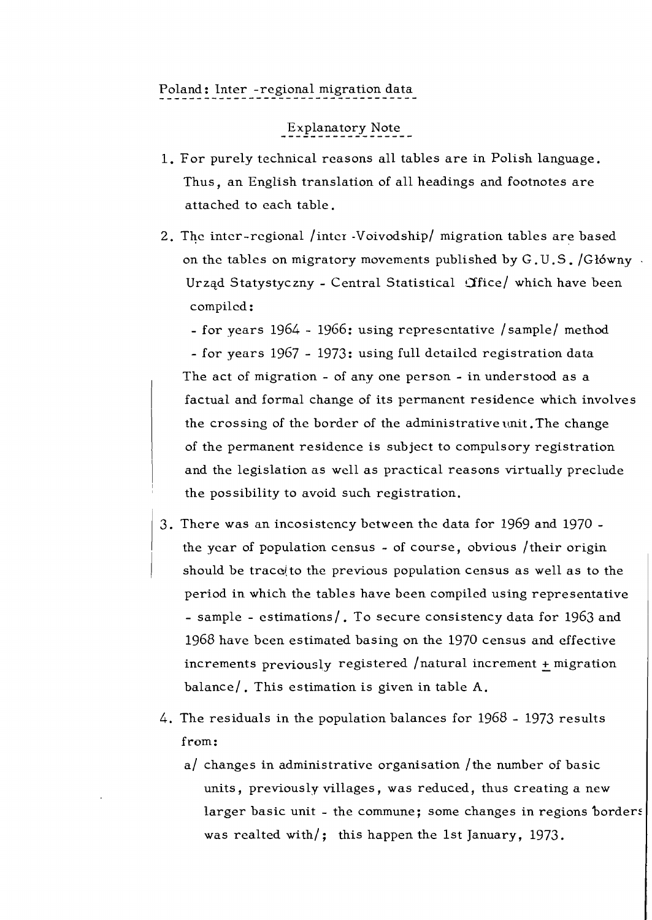Poland: Inter -regional migration data

Explanatory Note

- 1. For purely technical reasons all tables are in Polish language. Thus, an English translation of all headings and footnotes are attached to each table.
- 2. The inter-regional /inter -Voivodship/ migration tables are based on the tables on migratory movements published by  $G.U.S.$  /Glówny. Urzqd Statystyczny - Central Statistical *Gncel* which have been compiled:

- for years 1964 - 1966: using representative / sample/ method - for years 1967 - 1973: using full detailed registration data The act of migration - of anyone person - in understood as a factual and formal change of its permanent residence which involves the crossing of the border of the administrative  $\text{unit.}$  The change of the permanent residence is subject to compulsory registration and the legislation as well as practical reasons virtually preclude the possibility to avoid such registration.

- 3. There was an incosistency between the data for 1969 and 1970 the year of population census  $\sim$  of course, obvious /their origin should be trace to the previous population census as well as to the period in which the tables have been compiled using representative - sample - estimations/. To secure consistency data for 1963 and 1968 have been estimated basing on the 1970 census and effective increments previously registered /natural increment  $+$  migration balance/. This estimation is given in table  $A$ .
- 4. The residuals in the population balances for 1968 1973 results from:
	- *a*/ changes in administrative organisation / the number of basic units, previously villages, was reduced, thus creating a new larger basic unit - the commune; some changes in regions borders was realted with/; this happen the 1st January, 1973.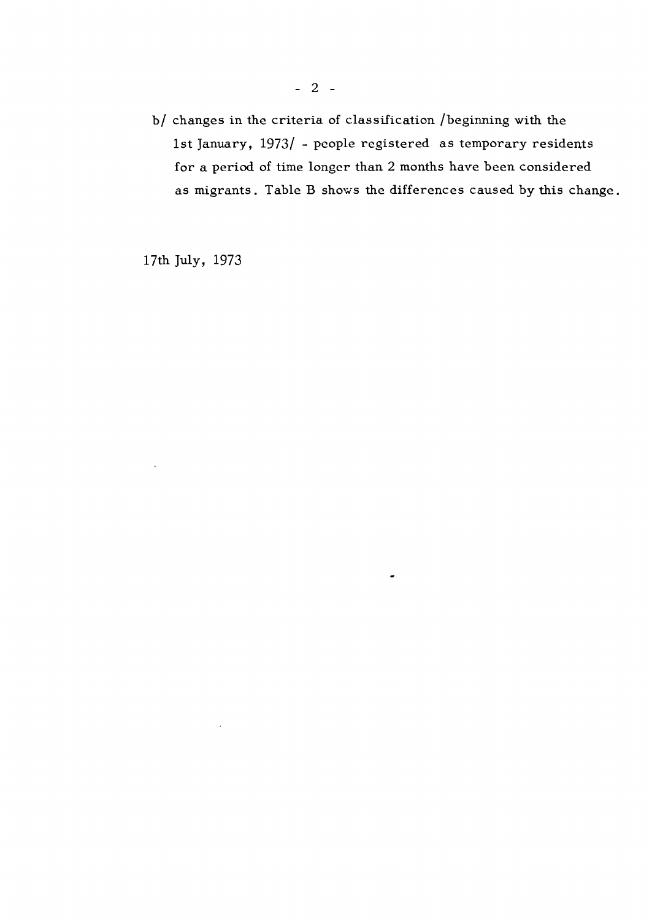- 2 -
- b/ changes in the criteria of classification /beginning with the 1st January, 1973/ - pcople rcgistered as temporary residents for a period of time longer than 2 months have been considered as migrants. Table B shows the differences caused by this change.

17th July, 1973

l,

 $\hat{\mathcal{L}}$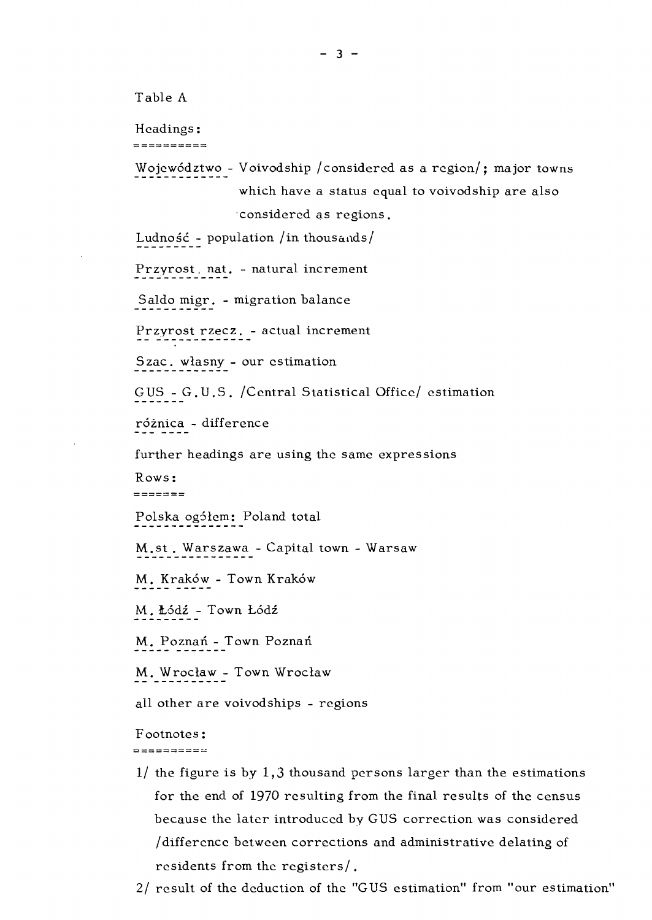Table A

Headings:

**===========**

Województwo - Voivodship / considered as a region/; major towns which have a status equal to voivodship are also 'considered as regions.

Ludność - population /in thousands/

Przyrost. nat. - natural increment

Saldo migr. - migration balance

Przyrost rzecz. - actual increment

S zac. wlasny - our estimation

GUS - G. U . S. /Central Statistical Office/ estimation

różnica - difference

further headings are using the same expressions

Rows:

**=======**

Polska ogółem: Poland total

M.st . Warszawa - Capital town - Warsaw

M. Kraków - Town Kraków

M. Łódź - Town Łódź

M. Poznań - Town Poznań

**M.** Wroclaw - Town Wroclaw

all other are voivodships - regions

Footnotes:

**==========-=**

1/ the figure is by 1,3 thousand persons larger than the estimations for the end of 1970 resulting from the final results of the census because the later introduced by GUS correction was considered /difference between corrections and administrative delating of residents from the registers/ .

2/ result of the deduction of the "GUS estimation" from "our estimation"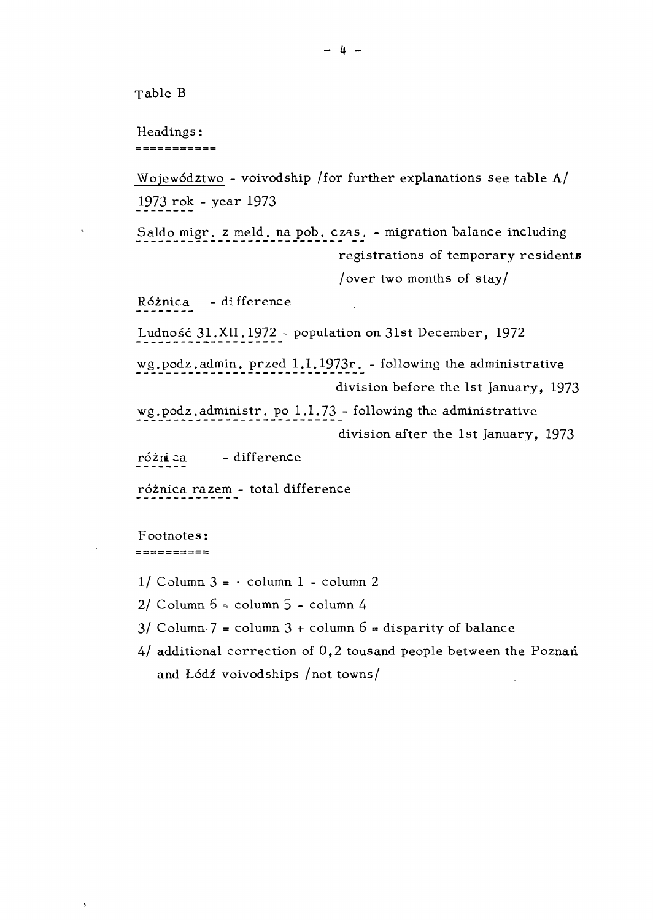Table B

Headings: **===========**

Województwo - voivodship /for further explanations see table  $A/$ 1973 rok - year 1973 Saldo migr. z meld. na pob. czas. - migration balance including registrations of temporary residents / over two months of stay/ Różnica - difference Ludność 31.XII.1972 - population on 31st December, 1972 wg. podz. admin. przed 1.I. 1973r . - following the administrative division before the 1st January, 1973 wg.podz.administr. po 1.1.73 - following the administrative division after the 1st January, 1973 różni.ca - difference różnica razem - total difference

Footnotes:

**==========**

- $1/$  Column 3 =  $\cdot$  column 1 column 2
- $2/$  Column 6 = column 5 column 4
- $3/$  Column 7 = column 3 + column 6 = disparity of balance
- $4/$  additional correction of 0,2 tousand people between the Poznań and Łódź voivodships / not towns/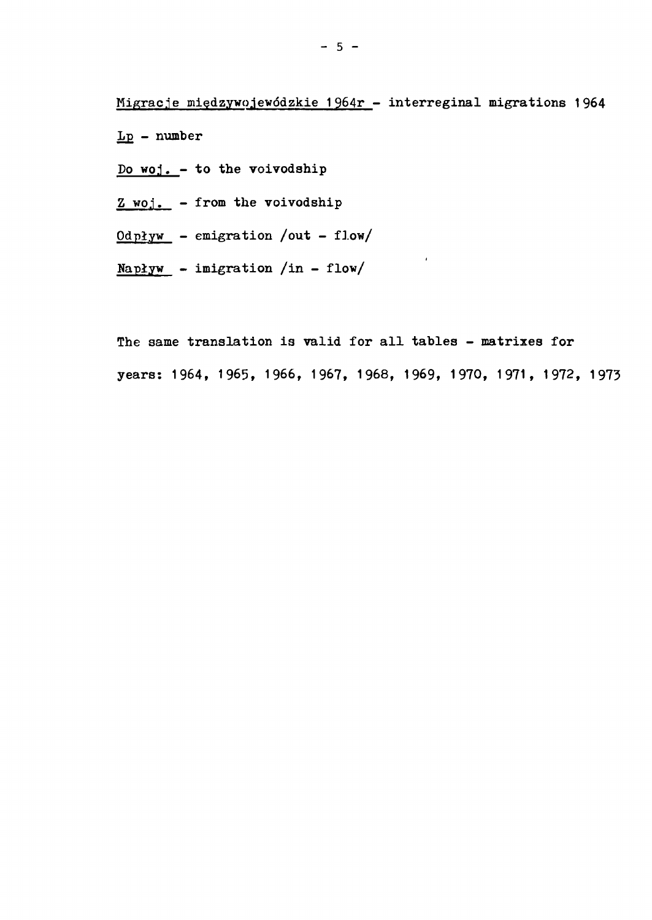Migracje międzywojewódzkie 1964r - interreginal migrations 1964  $Lp$  - number

Do woj. - to the voivodship

 $Z$  woj. - from the voivodship

 $\frac{0}{dy}$  - emigration /out - flow/

 $\frac{\text{Naplyw}}{\text{maplyw}}$  - imigration /in - flow/

The same translation is valid for all tables - matrixes for years: 1964, 1965, 1966, 1967, 1968, 1969, 1970, 1971, 1972, 1973

 $\bullet$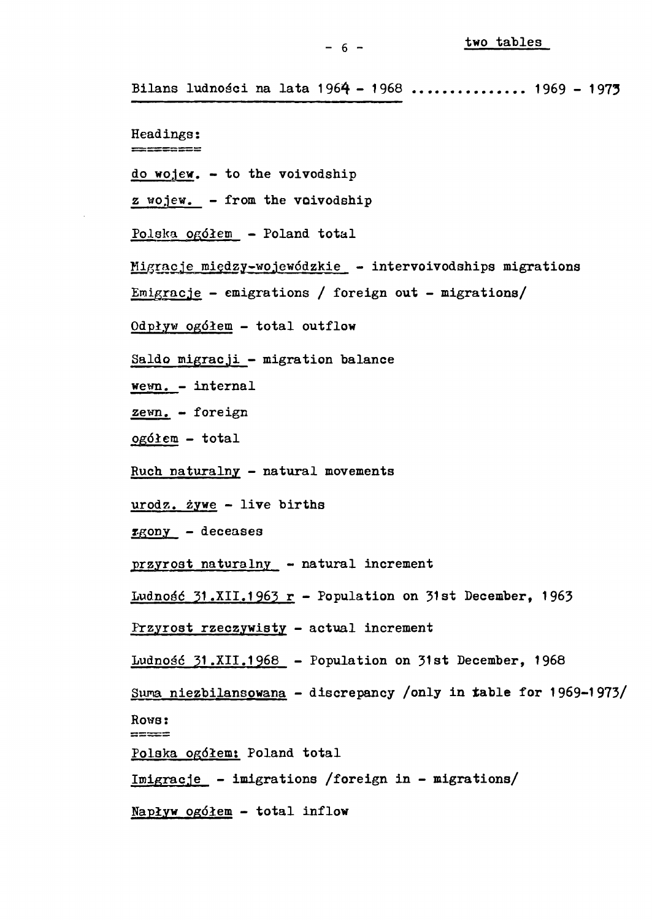Bilans ludności na lata 1964 - 1968  $\ldots \ldots \ldots \ldots \ldots$  1969 - 1973

Headings:<br>----------

 $do$  wojew.  $-$  to the voivodship

 $z$  wojew.  $-$  from the voivodship

Polska ogółem - Poland total

Migracje między-wojewódzkie - intervoivodships migrations

Emigracje - emigrations / foreign out - migrations/

Odplyw og61em - total outflow

Saldo migracji - migration balance

wewn. - internal

zewn. - foreign

 $ogólem - total$ 

Ruch naturalny - natural movements

urodz. zywe - live births

 $r_{\rm gony}$  - deceases

przyrost naturalny- - natural increment

Ludnosć 31.XII.1963 r - Population on 31st December, 1963

Przyrost rzeczywisty - actual increment

Ludnosć 31.XII.1968 - Population on 31st December, 1968

Suma niezbilansowana - discrepancy /only in table for 1969-1973/

 $Rows:$ <br> $====$ 

Polska ogółem: Poland total

 $Imimize j$ e - imigrations /foreign in - migrations/

Naplyw og61em - total inflow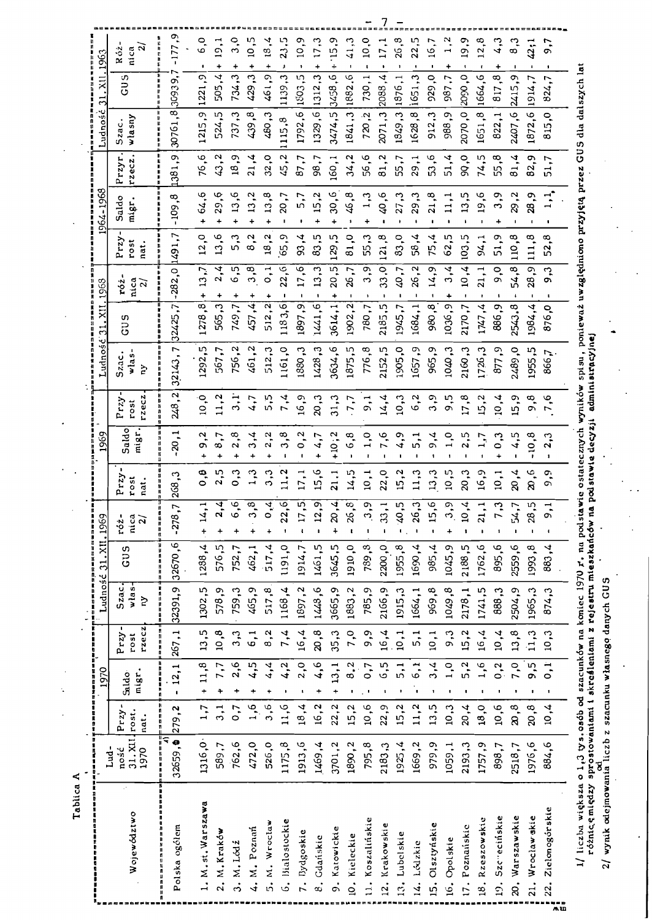|                                                                                                                                                                      |                          |               | 1970                 |                    |                | Ludność 31.XII.1969 |                        |                             | 1969             |                       | Ludność       | IIX.<br>$\tilde{c}$ | 1968                     |                          | 964-1968       |                 | Ludność            | $\bar{z}$<br>$\overline{5}$ | 1963                 |
|----------------------------------------------------------------------------------------------------------------------------------------------------------------------|--------------------------|---------------|----------------------|--------------------|----------------|---------------------|------------------------|-----------------------------|------------------|-----------------------|---------------|---------------------|--------------------------|--------------------------|----------------|-----------------|--------------------|-----------------------------|----------------------|
| Województwo                                                                                                                                                          | 31. XII.<br>ność<br>Lud- | rost.<br>Przy | Saldo                | ٠<br>Przy<br>rost  | Szac.<br>wlas- | GU <sub>5</sub>     | nica<br>$róz$ -        | Przy<br>rost                | Saldo            | Przy<br>$_{\rm rest}$ | Szac.<br>wlas | ဟ<br><b>CD</b>      | nica<br>róż              | Przy<br>rost             | Saldo<br>migr. | rzecz.<br>Przyr | $w$ lasny<br>Szac. | GUS                         | $R\delta z$<br>nica  |
|                                                                                                                                                                      | 1970                     | Inat.         | migr.                | rzecz              | Ş              |                     | $\tilde{a}$            | nat.                        | migr.            | rzecz                 | ð             |                     | $\tilde{a}$              | nat.                     |                |                 |                    |                             | $\vec{q}$            |
| Polska ogólem                                                                                                                                                        | 32659, 0279, 2           |               | 12,1<br>$\mathbf{I}$ | 267,1              | 32391,9        | 32670,6             | $-278,7$               | 268,3                       | $-20,1$          | 248,2                 | 32143,7       | 32425,7             | $-282,0$ 1491,7          |                          | $-109, 8$      | 1381,9          | 30761,8            | 30939,7                     | $-177,9$             |
| M.st. Warszawa<br>$\dot{a}$                                                                                                                                          | 1316,0                   | 1,7           | 11, 8<br>$\ddot{}$   | 13,5               | 1302,5         | 1288, 4             | $+ 14,1$               | $\mathbf{0}$ , $\mathbf{0}$ | 9, 2<br>+        | 10,0                  | 1292,5        | 1278.8              | 13,7<br>4                | 12,0                     | 64,6<br>÷      | 76,6            | 1215,9             | Ċ<br>1221                   | 6, 0<br>$\cdot$      |
| M.Kraków<br>$\ddot{a}$                                                                                                                                               | 589,7                    | 3,1           | 7,7<br>7             | 10, 8              | 578,9          | 576,5               | 2, 41                  | 2,5                         | 6,7              | 11, 2                 | 567,7         | 565,3               | 2,4                      | 13, 6                    | 29,6           | 43,2            | 524,5              | 505,4                       | 19,1<br>٠            |
| M. Lódź<br>.<br>ო                                                                                                                                                    | 762,6                    | 0,7           | 2,6<br>٠             | 3,3                | 759,3          | 752,7               | 6, 6<br>+              | $\ddot{0}$                  | 2, 8<br>+        | 3,1                   | 756,2         | 749,7               | ഗ<br>ं<br>+              | 5,3                      | 13, 6<br>+     | 18,9            | 737,3              | 734,3                       | 3,0<br>+             |
| M. Poznań<br>$\ddot{ }$                                                                                                                                              | 472,0                    | 1,6           | 4,5<br>+             | $\overline{6}$ , 1 | 465,9          | 462,1               | 3, 8<br>$\ddot{}$      | 1,3                         | 3, 4<br>+        | 4,7                   | 461,2         | 457,4               | 3, 8<br>+                | 8,2                      | 13,2           | 21,4            | 439,8              | Ċ<br>429                    | <u>ับ</u> ุ<br>٠     |
| M. Wroclaw<br>$\dot{5}$                                                                                                                                              | 526,0                    | 3,6           | 4, 4                 | 8,2                | 517,8          | 517,4               | 0,4<br>4               | 3,3                         | 2,2<br>۰         | 5,5                   | 512,3         | 512,2               | $\dot{\circ}$<br>÷       | 18,2                     | 13, 8<br>4     | 32,0            | 480,3              | 461.9                       | 13, 4<br>+           |
| lialostockie<br>.<br>હ                                                                                                                                               | 1175,8                   | 11,6          | 4, 2                 | 7,4                | 1168,4         | 1191,0              | 22,6<br><b>I</b>       | 11.2                        | 3, 8             | 7,4                   | 1161,0        | 1133,6              | 22,6                     | 65,9                     | 20,7           | 45,2            | 115,8              | 1139,3                      | 23,5<br>J            |
| Dydgoskie                                                                                                                                                            | 1913,6                   | 18, 4         | 2,0                  | 16, 4              | 1897,2         | 1914,7              | 17,5<br>ł              | 17,1                        | 0,2              | 16,9                  | 1880,3        | 1897,9              | 17,6                     | 93,4                     | 5,7            | 87,7            | 1792,6             | 1803.5                      | 10,9                 |
| Gdańskie                                                                                                                                                             | 1469,4                   | 16, 2         | 4, 6<br>+            | 20, 8              | 1448,6         | 1461,5              | 12,9                   | 15,6                        | 4,7<br>$\ddot{}$ | 20,3                  | 1428,3        | 1441, 6             | 13,3<br>1                | <b>ي</b><br>$\mathbf{3}$ | 15,2<br>٠      | 98,7            | 1329,6             | Č<br>1312,                  | 17,3<br>+            |
| Katowickie<br>ં                                                                                                                                                      | 3701,2                   | 22, 2         | 13,1                 | 35,3               | 3665,9         | 3645.5              | $+20,4$                | 21,1                        | $+10, 2$         | 31,3                  | 3634,6        | 3614, 1             | 20,5<br>+                | ņ<br>129.                | 30, 6<br>4     | 160,1           | 3474,5             | 3458,6                      | $-15,9$<br>÷         |
| Kieleckie<br>9.                                                                                                                                                      | 1890,2                   | 15, 2         | 8.2                  | 7,0                | 1883,2         | 1910,0              | 26,8<br>f.             | 14,5                        | 6, 8<br>×        | 7,7                   | 1875,5        | 1902,2              | 26,7<br>J.               | 81,0                     | 46,8           | 34, 2           | 1841,3             | 1882.6                      | 41,3                 |
| Koszalińskie<br>$\frac{1}{1}$                                                                                                                                        | 795,8                    | 10,6          | 0,7                  | 9,9                | 785,9          | 789,8               | 3,9<br>1               | $\overline{a}$              | 1,0              | 9,1                   | 776,8         | 780,7               | 3, 9<br>٠                | 55,3                     | 1,3            | 56,6            | 720,2              | 730,1                       | 10,0<br>$\mathbf{I}$ |
| Krakowskie<br>$\overline{2}$ .                                                                                                                                       | 2183,3                   | 22,9          | $\overline{6}$ , 5   | 16, 4              | 2166,9         | 2200,0              | 33,1<br>$\mathbf{I}$   | 22,0                        | 7,6              | 14, 4                 | 2152,5        | 2185,5              | 33,0                     | 121,8                    | 40,6           | 81, 2           | 2071,3             | 2088,4                      | 7<br>17,1            |
| 13. Lubelskie                                                                                                                                                        | 1925,4                   | 15,2          | $\overline{5,1}$     | 10, 1              | 1915,3         | 1955,8              | 40,5<br>$\mathbf{I}$   | 15,2                        | 4,9              | 10,3                  | 1905,0        | 1945,7              | 40,7                     | 33,0                     | 27,3           | 55,7            | 1849,3             | 1876,1                      | 26,8<br>$\mathbf{I}$ |
| Lódzkie<br>14.                                                                                                                                                       | 1669,2                   | 11,2          | 6,1                  | $\frac{1}{2}$      | 1664,1         | 1690,4              | 26,3                   | 11,3                        | $\frac{1}{5}$    | 6,2                   | 1657,9        | 1684, 1             | 26,2<br>t                | 58,4                     | 29,3           | 29,1            | 1628, 8            | 1651,3                      | 22,5                 |
| Olsztyńskie<br><u>ហ្គុំ</u>                                                                                                                                          | 979,9                    | 13,5          | 3.4                  | 10,1               | 969,8          | 985,4               | 15,6                   | 13,3                        | 5.4              | 3,9                   | 965,9         | 980,8               | 14,9                     | 75, 4                    | 21, 8          | 53,6            | 912,3              | 929,0                       | 16,7                 |
| 16. Opolskie                                                                                                                                                         | 1059,1                   | 10,3          | 0, 1                 | 9,3                | 1049,8         | 1045,9              | 3,9<br>+               | 10,5                        | 1,0              | 9,5                   | 1040,3        | 1036,9              | 3, 4<br>+                | 62,5                     | 11,1           | 51,4            | 988,9              | 987,7                       | $\frac{2}{1}$<br>+   |
| Poznańskie<br>17.                                                                                                                                                    | 2193,3                   | 20,4          | 5,2                  | 15,2               | 2178,1         | 2188,5              | 10, 4                  | 20,3                        | 2,5              | 17, 8                 | 2160,3        | 2170,7              | 10, 4                    | 103,5                    | 13,5           | 90.0            | 2070,0             | 2090,0                      | 19,9                 |
| 18. Rzeszowskie                                                                                                                                                      | 1757,9                   | 18,0          | 1,6                  | 16, 4              | 1741,5         | 1762,6              | 21, 1                  | 16,9                        | 1,7              | 15, 2                 | 1726,3        | 1747, 4             | 21,                      | 94,1                     | 19,6           | 74,5            | 1651, 8            | 1664,6                      | 12, 8                |
| Szc <sup>-</sup> ecińskie<br>$\ddot{2}$                                                                                                                              | 898,7                    | 10,6          | 0, 2                 | 10, 4              | 888,3          | 895,6               | 7,3                    | 10,1                        | 0,3              | 10, 4                 | 877,9         | 886,9               | 0,6                      | 51,9                     | 3,9            | 55,8            | 822,1              | +<br>817,8                  | 4,3                  |
| Warszawskie<br>್ಲ.                                                                                                                                                   | 2518,7                   | 8.a           | 7,0                  | 13, 8              | 2504,9         | 2559,6              | 54,7<br>$\blacksquare$ | 20,4                        | 4,5              | 15,9                  | 2489,0        | 2543.8              | 54,8                     | œ.<br>$\overline{10}$    | 29,2           | 81,4            | 2407,6             | 2415,9                      | $\mathbf{a}$         |
| Wroclawskie<br>$\overline{a}$ .                                                                                                                                      | 1976,6                   | 20, 8         | 9,5                  | 11,3               | 1965,3         | 1993,8              | 28,5                   | ತಿ.<br>8                    | $-10, 8$         | 9,8                   | 1955,5        | 1984,4              | 28,9                     | 111, 8                   | 28,9           | 82,9            | 1872, 6            | 1914,7                      | 42;1                 |
| Zielonogórskie<br>22.<br>мu                                                                                                                                          | 884,6                    | 10, 4         | $\frac{1}{2}$        | 10,3               | 874,3          | 883,4               | 9,1                    | o.e                         | 2,3              | 7,6                   | 866,7         | 876,0               | $\dot{\mathcal{L}}$<br>c | 52, 8                    | $\frac{1}{1}$  | 51,7            | ৾<br>815           | 824,7                       | 5,7                  |
| 1/ liczba większa o 1,3 tys., osób od szacunków na koniec 1970 z, na podstawie ostatecznych wyników spisu, ponieważ uwzględniono przyjętą przez GUS dla dalszych lat |                          |               |                      |                    |                |                     |                        |                             |                  |                       |               |                     |                          |                          |                |                 |                    |                             |                      |
|                                                                                                                                                                      |                          |               |                      |                    |                |                     |                        |                             |                  |                       |               |                     |                          |                          |                |                 |                    |                             |                      |

 $\ddot{\phantom{a}}$ 

 $\ddot{\phantom{a}}$ 

 $\cdot$ 

 $\ddot{\phantom{0}}$  $\ddot{\phantom{0}}$ 

J.  $\ddot{\cdot}$ 

 $\ddot{\phantom{a}}$ 

Tablica A

różnic emiędzy sprostowaniami i skrcśleniami z rejestru mieszkańców na podstawie decyzji administracyjnej<br>2/ wynik odejmowania liczb z szacunku własnego danych GUS

 $\ddot{\phantom{0}}$ 

 $\ddot{\phantom{0}}$ 

 $\overline{\phantom{a}}$ 

 $\cdot$  $\ddot{\phantom{0}}$ 

 $\ddot{\cdot}$ 

 $\ddot{\cdot}$ 

 $\ddot{\phantom{1}}$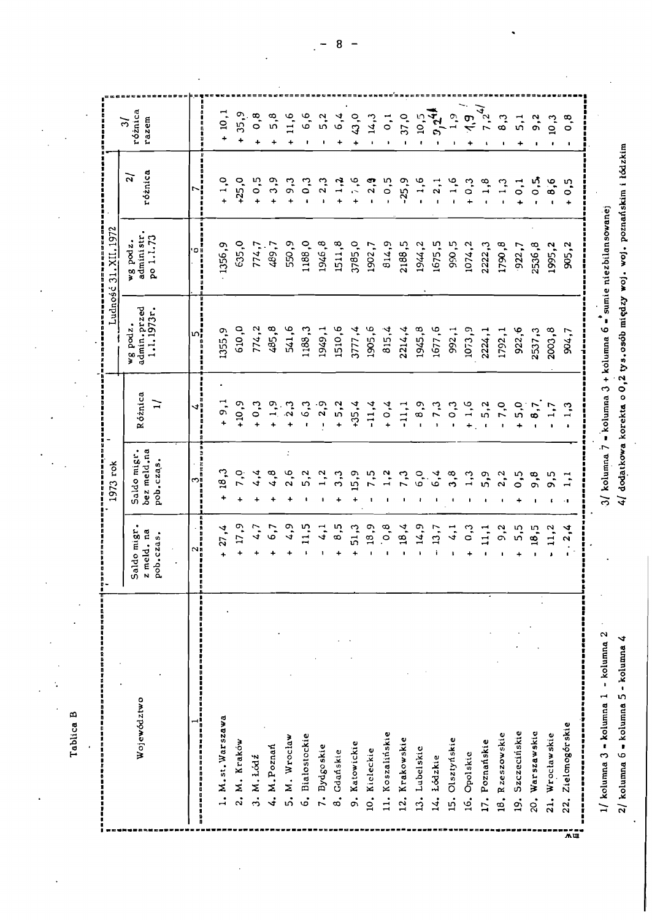| ì                                    | اند ہے۔<br>م<br>.<br>.<br>.<br>4.2 tys.0s6b między woj. woj. poznańskim i |
|--------------------------------------|---------------------------------------------------------------------------|
|                                      |                                                                           |
|                                      |                                                                           |
| $3 +$ kolumna $6 =$ sumie niezbilans |                                                                           |
|                                      |                                                                           |
|                                      |                                                                           |
| $l =$ kolumna                        | korekta o                                                                 |
|                                      |                                                                           |
| j                                    |                                                                           |
|                                      |                                                                           |

2/ kolumna 6 = kolumna 5 - kolumna 4

 $\ddot{\phantom{0}}$ 

|    |                                      |                                    | 1973 rok                                |                           |                                                                      | Ludnosć 31.XII.1972                 |                        |                                              |
|----|--------------------------------------|------------------------------------|-----------------------------------------|---------------------------|----------------------------------------------------------------------|-------------------------------------|------------------------|----------------------------------------------|
|    | Województwo                          | Saldo migr<br>meld. na<br>ob.czas. | bez meld.na<br>Saldo migr.<br>pob.czas. | Róznica<br>$\overline{a}$ | admin.przed<br>1.1.1973r.<br>wg podz.                                | administr<br>po 1.1.73<br>wg pod z. | różnica<br>$\tilde{z}$ | różnica<br>$\overline{\mathcal{E}}$<br>razem |
|    |                                      |                                    |                                         |                           |                                                                      |                                     |                        |                                              |
|    |                                      | 2                                  |                                         | ۹ļ                        |                                                                      | ۰                                   |                        |                                              |
|    | 1. M.st. Warszawa                    | $+ 27,4$                           | 18,3<br>$\ddot{}$                       | $+9,1$                    | 1355,9                                                               | 1356,9                              | $+1,0$                 | $+ 10,1$                                     |
|    | 2. M. Kraków                         | 17,9                               | 7,0                                     | $+10,9$                   | 610,0                                                                | 635,0                               | $+25,0$                | 35,9                                         |
|    | 3. M. Łódź                           | 4,7                                | 4,4                                     | $+0,3$                    | 774,2                                                                | 774,7                               | $+0,5$                 | 0, 8                                         |
|    | 4. M. Poznań                         | 6,7                                | 4, 8                                    | 1,9                       | 485, 8                                                               | 489,7                               | 3,9<br>$\ddot{}$       | 5, 8                                         |
|    | 5. M. Wrocław                        | 4,9                                | 2, 6                                    | $\frac{2}{3}$             | 541,6                                                                | 550,9                               | 9,3<br>$\ddot{}$       | 11,6                                         |
|    | 6. Białostockie                      | 11,5                               | 5, 2                                    | 6,3                       | 1188,3                                                               | 1188,0                              | $\mathfrak{o}$ .3      | 6, 6                                         |
|    | 7. Bydgoskie                         | 4,1                                | 1,2                                     | 2,9                       | 1949,1                                                               | 1946,8                              | 2,3                    | 5,2                                          |
|    | 8. Gdańskie                          | 8,5                                | 3,3                                     | $+5,2$                    | 1510,6                                                               | 1511,8                              | $\frac{1}{2}$          | 6,4                                          |
|    | 9. Katowickie                        | 51,3                               | 15,9                                    | $+35,4$                   | 3777,4                                                               | 3785,0                              | $-1,6$                 | 43,0                                         |
|    | 10. Kieleckie                        | 18,9                               | 7,5                                     | $-11,4$                   | 1905,6                                                               | 1902,7                              | $-2,9$                 | 14,3                                         |
|    | 11. Koszalińskie                     | $\mathbf{g}^{\prime}$ o            | 1, 2                                    | $+0,4$                    | 815,4                                                                | 814,9                               | $-0,5$                 | $\overline{0}$                               |
|    | 12. Krakowskie                       | 18, 4                              | 7,3                                     | $-11,1$                   | 2214, 4                                                              | 2188,5                              | $-25,9$                | 37,0<br>$\blacksquare$                       |
|    | 13. Lubelskie                        | 14,9                               | 6,0                                     | 8,9                       | 1945,8                                                               | 1944,2                              | $-1,6$                 | 10,5<br>ï                                    |
|    | 14. Łódzkie                          | 13,7                               | 6, 4                                    | 7,3                       | 1677,6                                                               | 1675,5                              | 2,1                    | 5.24<br>$\pmb{\cdot}$                        |
|    | 15. Olsztyńskie                      | 4,1                                | 3, 8                                    | 0,3                       | 992,1                                                                | 990,5                               | 1,6                    | 1,9                                          |
|    | 16. Opolskie                         | $\ddot{0}$                         | 1, 3                                    | 1,6<br>$\ddot{}$          | 1073,9                                                               | 1074,2                              | $+0,3$                 | $\ddot{\mathbf{c}}$                          |
|    | 17. Poznańskie                       | 11,1                               | 5,9                                     | 5.2                       | 2224,1                                                               | 2222,3                              | 1, 8                   | $7,2^{4}$                                    |
|    | 18. Rzeszowskie                      | 9,2                                | 2, 2                                    | 7,0                       | 1792,1                                                               | 1790,8                              | 1,3                    | 8,3                                          |
|    | 19. Szczecińskie                     | 5,5                                | 0,5                                     | $\frac{0}{5}$             | 922,6                                                                | 922,7                               | 0,1                    | $\frac{1}{5}$                                |
|    | 20. Warszawskie                      | 18,5                               | 9, 8                                    | 6,7                       | 2537,3                                                               | 2536,8                              | เก๋<br>o               | $\frac{2}{9}$                                |
|    | 21. Wrocławskie                      | 11,2                               | 9,5                                     | 1,7                       | 2003, 8                                                              | 1995,2                              | 8,6                    | 10,3                                         |
| wm | 22. Zielonogórskie                   | 2,4                                | $\mathbf{1}$                            | 1,3                       | 904,7                                                                | 905,2                               | 0,5                    | 0, 8                                         |
|    | 1/ kolumna 3 = kolumna 1 = kolumna 2 |                                    |                                         |                           | $3/$ kolumna $7$ = kolumna $3$ + kolumna 6 = sumie niezbilan sowane; |                                     |                        |                                              |
|    |                                      |                                    |                                         |                           |                                                                      |                                     |                        |                                              |

Tablica B

 $\ddot{\phantom{1}}$ 

"我们的比较级的情况只是他发现了这个性格的思想的发展过程以前只有的我们的发展的思想的时候,我们的感觉我们的爱好。"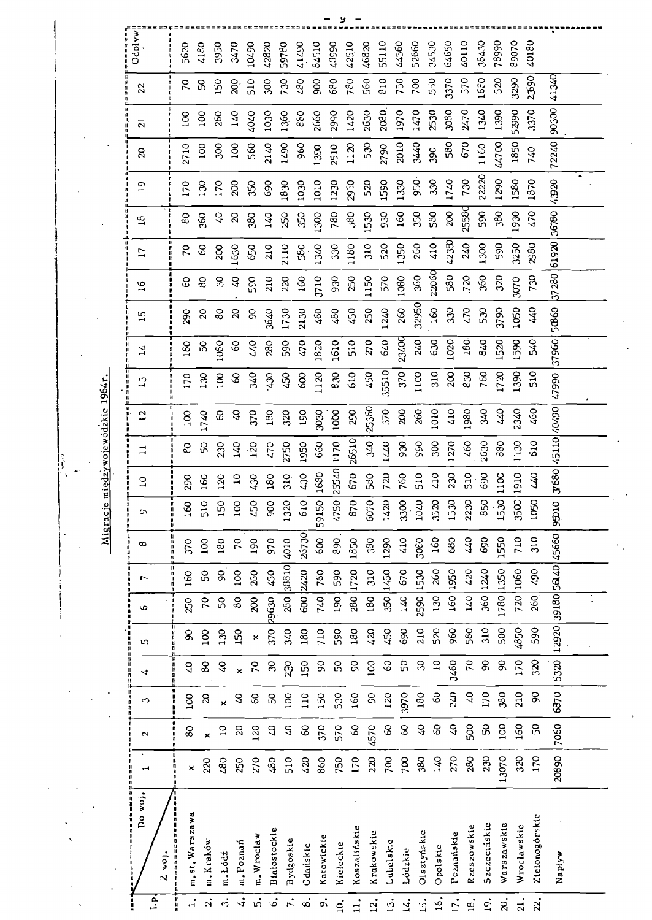| Odplyw                                                                       | 5620            | 4180                      | 3950          | 3470                      | 10490                     | 42820        | 59780          | 41490      | 84510                 | 48990      | 42510        | 46820          | 55110      | 44560    | 52660                   | 34530          | 64650             | 40110          | 38430          | 78990          | 89070                 | 40180          |                         |  |
|------------------------------------------------------------------------------|-----------------|---------------------------|---------------|---------------------------|---------------------------|--------------|----------------|------------|-----------------------|------------|--------------|----------------|------------|----------|-------------------------|----------------|-------------------|----------------|----------------|----------------|-----------------------|----------------|-------------------------|--|
| 22                                                                           | 20              | <u>ន</u>                  | 150           | 200                       | 510                       | 300          | 730            | <b>757</b> | 800                   | <b>680</b> | 780          | 560            | 810        | 750      | 700                     | 550            | 3370              | 570            | 1630           | 520            | 3290                  | 23590          | 41340                   |  |
| $\overline{21}$                                                              | 100             | $\overline{5}$            | 260           | 140                       | 4040                      | 1030         | 1360           | 880        | 2660                  | 2990       | 1420         | 2630           | 2080       | 1970     | 1470                    | 2530           | 3030              | 2470           | 1340           | 1390           | 52990                 | 3370           | 90300                   |  |
| S                                                                            | 2710            | $\overline{5}$            | 300           | 100                       | 560                       | 2140         | 1490           | 960        | 1390                  | 2510       | 1120         | 530            | 2790       | 2010     | 3440                    | 390            | 580               | 670            | 1160           | 44700          | 1850                  | 740            | 72240                   |  |
| $\mathbf{5}$                                                                 | 170             | 30                        | 170           | $\approx$                 | 350                       | 690          | 1830           | 1030       | 1010                  | 1230       | 2950         | 520            | 1590       | 1330     | 950                     | 330            | 1740              | 730            | 22220          | 1290           | 1580                  | 1870           | 0267                    |  |
| 18                                                                           | eo              | 360                       | $\mathcal{C}$ | $\Omega$                  | 380                       | 140          | 250            | 350        | 1300                  | 780        | 380          | 1530           | 530        | 160      | 350                     | 580            | 200               | 25580          | 590            | 380            | 1930                  | 470            | 36780                   |  |
| $\overline{11}$                                                              | 20              | $\infty$                  | 200           | 1630                      | 650                       | 210          | 2110           | 580        | 1340                  | 330        | 1180         | 310            | 520        | 1350     | 260                     | 410            | 42350             | 240            | 1300           | 590            | 3250                  | 2980           | 61920                   |  |
| $\frac{6}{1}$                                                                | ଌ               | 8 <sup>o</sup>            | $\infty$      | $\mathcal{L}$             | 590                       | 210          | 220            | 160        | 3710                  | 930        | 250          | 1150           | 570        | 1080     | 360                     | <b>22060</b>   | 580               | 720            | 360            | 320            | 3070                  | 730            | 37280                   |  |
| ഗ                                                                            | 290             | $\boldsymbol{\mathsf{S}}$ | 80            | $\boldsymbol{\mathsf{S}}$ | 8                         | 3640         | 1730           | 2130       | 460                   | 480        | 450          | 250            | 1240       | 260      | 32950                   | 160            | 330               | $-70$          | 530            | 3790           | 1050                  | 3              | 50860                   |  |
| $\overline{14}$                                                              | 180             | SO,                       | 1050          | $\infty$                  | $\frac{4}{9}$             | 280          | 590            | 470        | 1820                  | 1610       | 510          | 270            | 640        | 23400    | 240                     | 630            | 1020              | 180            | 840            | 1520           | 1590                  | 540            | 37960                   |  |
| $\mathbf{L}$                                                                 | 170             | 130                       | 300           | 8                         | 340                       | 057.         | $\sqrt{2}$     | 600        | 1120                  | 830        | 610          | 450            | 35510      | 370      | 1100                    | 310            | 200               | 830            | 760            | 1720           | 1390                  | 510            | 47990                   |  |
| 12                                                                           | 50 <sub>1</sub> | 1740                      | 8             | $\mathcal{C}$             | 370                       | 180          | 320            | 190        | 3030                  | 1000       | 290          | 25360          | 370        | 200      | 260                     | 1010           | 410               | 1980           | 340            | $\frac{1}{2}$  | 2340                  | 460            |                         |  |
| $\mathbf{1}$                                                                 | S               | ္က                        | 230           | <b>340</b>                | $-20$                     | 470          | 2750           | 1950       | 660                   | 1170       | 26510        | 340            | 1440       | 930      | 950                     | 300            | 1270              | 460            | 2630           | 880            | 1130                  | <b>610</b>     | 3680 45110 40490        |  |
| $\overline{a}$                                                               | 290             | 160                       | 120           | $\mathsf{C}$              | 430                       | 180          | 310            | 430        | 1630                  | 25540      | 670          | 530            | 720        | 760      | 510                     | $\overline{c}$ | 230               | 510            | 690            | 1100           | 1910                  | 40             |                         |  |
| o                                                                            | $\mathcal{S}$   | 510                       | 150           | 100                       | 450                       | OOG          | 320            | 610        | 150<br>$\overline{5}$ | 4750       | 870          | 6070           | 1420       |          | 3300                    | 3520           | 1530              | 230<br>N       | 850            | 1530           | $\overline{500}$<br>ನ | 1050           | $\frac{1}{2}$<br>ă,     |  |
| $^\infty$                                                                    | 370             | 100                       | 180           | $\mathcal{L}$             | 190                       | 970          | 4010           | 26730      | 600                   | 890.       | 1850         | 380            | 1290       | 410      | <b>30EO</b>             | 160            | 680               | 40             | 690            | 1550           | 710                   | 310            |                         |  |
| 自然教师<br>$\overline{ }$                                                       | 160             | S                         | $8$           | $\overline{100}$          | 260                       | 450          | 280 38810      | 2420       | 760                   | 590        | 280 1720     | 310            | 350 1450   | 670      | 2590 1530               | 260            | 1950              | 420            | 360 1240       | 1780 1350      | 720 1060              | 067            |                         |  |
| ७                                                                            | 250             | 20                        | ვ             | 80                        | 200                       | 29630        |                | 600        | 740                   | 190        |              | 180            |            | 140      |                         | 130            | 160               | 140            |                |                |                       | 260            | 12920 39180 56140 45660 |  |
| ഗ                                                                            | 90              | 100                       | 30            | 150                       | $\boldsymbol{\mathsf{x}}$ | 370          | 340            | 180        | 710                   | 590        | 180          | 420            | 450        | 690      | 210                     | 520            | 960               | 580            | 310            | 500            | 4850                  | 590            |                         |  |
| ↴                                                                            | G7              | 80                        | G)            |                           | $\overline{2}$            | S            | ಸ್ಟ್           | 150        | $\overline{6}$        | ္တ         | g            | 100            | $\infty$   | SO,      | 8                       | $\overline{a}$ | 3460              | $\sim$         | 8              | ႙              | <b>DZ1</b>            | 320            | 5320                    |  |
| က                                                                            | <b>SOT</b>      | $\mathcal{S}$             | $\star$       | $\mathcal{C}$             | 8                         | ္ဘ           | $\overline{5}$ | 110        | 150                   | 530        | 160          | 8 <sup>o</sup> | 120        | 3970     | 180                     | 8              | 240               | G              | 170            | 380            | 210                   | g              | 6870                    |  |
| N                                                                            | န္တ             |                           | $\Xi$         | $\Omega$                  | 120                       | G            | Ğ              | ငွ         | 370                   | 570        | 8            | 4570           | S          | $\infty$ | $\mathcal{C}^{\bullet}$ | 8              | S                 | S <sub>0</sub> | ္တ             | $\overline{5}$ | 160                   | ္က             | 7060                    |  |
|                                                                              |                 | 220                       | 480           | 350                       | 270                       | <b>480</b>   | 510            | 420        | 860                   | 750        | 170          | 220            | <b>POC</b> | 200      | 380                     | 140            | 270               | 280            | 230            | 3070           | 320                   | 170            | 20890                   |  |
| Do woj.<br>         <br>             <br>ון<br>ון<br>n<br>おおかいかい<br>$2$ woj. | m.st. Warszawa  | m.Kraków                  | m. Łódź       | m.Poznań                  | m.Wrocław                 | Bialostockie | Bydgoskie      | Gdańskic   | Katowickie            | Kieleckie  | Koszalińskie | Krakowskie     | Lubelskie  | Lódzkie  | Olsztyńskie             | Opolskie       | Poznańskie        | Rzeszowskie    | Szczecińskie   | Warszawskie    | Wroclawskie           | Zielonogórskie | Napływ                  |  |
| 川川山<br>م<br>1                                                                | i<br>II         | $\ddot{\Omega}$           | က်            | $\ddot{ }$                | ທ່                        | <u>්</u>     | $\mathbf{r}$ . | 6.         | $\ddot{\circ}$        | ₫.         | $\mathbf{1}$ | $\overline{5}$ | $\ddot{5}$ | 14.      | ្មរ                     | $\vec{5}$      | $\overline{17}$ . | $\ddot{B}$     | $\overline{5}$ | 20.            | $\overline{21}$ .     | 22.            |                         |  |

Migracje międzywoje wódzkie 1964r.

 $\ddot{\phantom{0}}$  $\ddot{\phantom{a}}$ 

 $\overline{\phantom{a}}$ 

 $\begin{bmatrix} 1 & 1 \\ 1 & 1 \\ 1 & 1 \end{bmatrix}$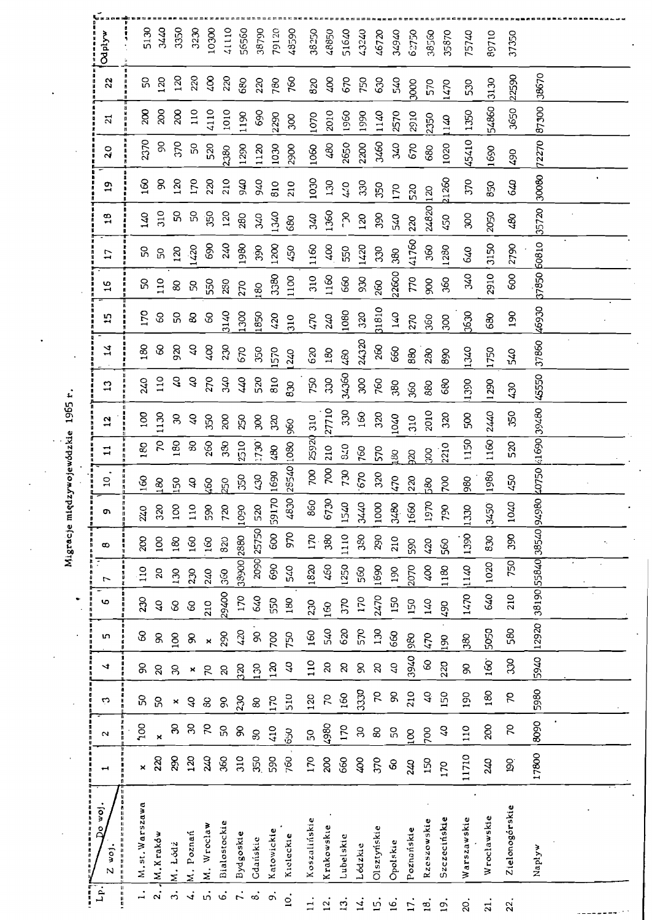|                                   | <b>Odplyw</b>                                        | 5130             | 3440                  | 3350                       | 3230                       | 10300          | 41110                      | 56560      | 38790               | 79120         | 48590          | 38250        | 48850          | 51640          | 43240          | 46720          | 34940           | 62750      | 38560               | 35870          | 75740          | 89710            | 37350           |                         |  |  |
|-----------------------------------|------------------------------------------------------|------------------|-----------------------|----------------------------|----------------------------|----------------|----------------------------|------------|---------------------|---------------|----------------|--------------|----------------|----------------|----------------|----------------|-----------------|------------|---------------------|----------------|----------------|------------------|-----------------|-------------------------|--|--|
|                                   | $\boldsymbol{z}$                                     | ន                | 120                   | 120                        | 220                        | 400            | 220                        | 680        | 220                 | 780           | 760            | 820          | 400            | 670            | 750            | 630            | 540             | 3000       | 570                 | 1470           | 530            | 3130             | 22590           | 38670                   |  |  |
|                                   | $\overline{z}$                                       | 200              | 200                   | 200                        | 110                        | 4110           | 1010                       | 1190       | 690                 | 2290          | 300            | 1070         | 2010           | 1960           | 1990           | 1140           | 2570            | 2910       | 2350                | 140            | 1350           | 54860            | 3650            | 87300                   |  |  |
|                                   | $\overline{20}$                                      | 2370             | 8 <sup>o</sup>        | 370                        | <u>င</u> ္ဂ                | 520            | 2380                       | 1290       | 1120                | 1030          | 2900           | 1060         | 480            | 2650           | 2200           | 3460           | 340             | 670        | 680                 | 1020           | 45410          | 1690             | 490             | 72270                   |  |  |
|                                   | $\overline{a}$                                       | 160              | 8                     | 120                        | 170                        | 220            | 210                        | 940        | 940                 | 810           | 210            | 1030         | 130            | 677            | 330            | 350            | 170             | 520        | 120                 | 21260          | 370            | 850              | 640             | 30080                   |  |  |
|                                   | 18                                                   | $\overline{140}$ | 310                   | ន                          | <u>င</u> ္ဂ                | 350            | 120                        | 280        | 340                 | 1340          | 680            | 340          | 1360           | $\infty$       | 120            | 390            | 540             | 220        | 24820               | 450            | 300            | 2050             | 480             | 35720                   |  |  |
|                                   | 17                                                   | SO               | တိ                    | 120                        | 1420                       | 690            | 240                        | 1980       | 390                 | 1200          | 450            | 1160         | 400            | 550            | 1420           | 330            | 380             | 41760      | 360                 | 1280           | 640            | 3150             | 2790            |                         |  |  |
|                                   | 16                                                   | ္က               | 110                   | $80$                       | S,                         | 550            | 280                        | 270        | $\infty$            | 3380          | 1100           | 310          | 1160           | 660            | 930            | 260            | 22600           | 770        | 900                 | 360            | 340            | 2910             | 600             | 37850 60810             |  |  |
|                                   | $\frac{5}{2}$                                        | 170              | $\infty$              | SO,                        | $\pmb{S}$                  | $\infty$       | 3140                       | 1300       | 1850                | 420           | 310            | 470          | 240            | 1080           | 320            | 31810          | 140             | 270        | 360                 | 300            | 3630           | 680              | 190             | 46930                   |  |  |
|                                   | $\frac{1}{4}$                                        | 180              | $\infty$              | 920                        | $\mathcal{C}^{\mathbf{b}}$ | 400            | 230                        | 670        | 350                 | 570           | 240            | 620          | 180            | 480            | 24320          | 260            | 660             | 880        | 280                 | 890            | 1340           | 1750             | 540             | 37860                   |  |  |
|                                   | $\mathbf{r}$                                         | 240              | 110                   | $\mathcal{C}$              | $\mathcal{C}$              | 270            | 340                        | 40         | 520                 | 810           | 830            | 750          | 330            | 34360          | 300            | 760            | 380             | 360        | 880                 | 680            | 1390           | 1290             | 430             | 45550                   |  |  |
| Migracje międzywojewódzkie 1965 r | $\frac{2}{1}$                                        | 100              | 1130                  | $\mathcal{S}^{\mathsf{C}}$ | $\mathcal{L}$              | 350            | 200                        | 250        | 500                 | 320           | 960            | 310          | 27710          | 330            | 160            | 320            | 1040            | 310        | 2010                | 320            | 500            | 2440             | 350             |                         |  |  |
|                                   | $\mathbf{I}$                                         | 180              | 20                    | 180                        | $\pmb{\mathcal{S}}$        | 260            | 380                        | 2510       | 1730                | 480           | 1030           | 25920        | 210            | 3.0            | 760            | 570            | 80              | 20         | 300                 | 2210           | 1150           | 1160             | 520             |                         |  |  |
|                                   | $\overline{a}$                                       | 160              | 180                   | 50                         | $\mathcal{G}$              | 321            | 250                        | 350        | 430                 | 1690          | 28540          | 700          | 500            | 730            | 670            | 320            | 470             | 220        | 380                 | 700            | 980            | 1980             | 450             | 08760 50913 05207       |  |  |
|                                   | Ō                                                    | 220              | 320                   | 100                        | 110                        | 590            | 720                        | 1090       | 520                 | 59170         | 4830           | 860          | 6730           | 1540           | 3440           | 1000           | 3480            | 1660       | 1970                | 790            | 1330           | 3450             | 1040            |                         |  |  |
|                                   | $\infty$                                             | 200              | 100                   | 180                        | 160                        | 160            | 820                        |            | 25750               | 600           | 970            | 170          | 380            | 1110           | 380            | 290            | 210             | 590        | 420                 | 560            | 1390           | 830              | 390             |                         |  |  |
|                                   | 7                                                    | $\overline{110}$ | $\boldsymbol{\Omega}$ | 130                        | 230                        | 240            | <b>GSC</b>                 | 38900 2880 | 2090                | 690           | 540            | 1820         | 460            | 1250           | 560            | 1690           | 190             | 2070       | 400                 | 1180           | 1140           | 1020             | 750             | 38190 55840 38540 94980 |  |  |
|                                   | G                                                    | 230              | $\mathcal{Q}$         | $\infty$                   | $\infty$                   | 210            | 29400                      | 170        | 640                 | 550           | 180            | 230          | 160            | 370            | 170            | 2470           | 150             | 150        | 140                 | 490            | 1470           | 640              | 210             |                         |  |  |
|                                   | ۱Л                                                   | 8                | 8                     | 00                         | 8                          | $\pmb{\times}$ | 290                        | 420        | $\infty$            | 700           | 750            | 160          | 540            | 620            | 570            | 130            | 660             | 980        | 470                 | 190            | 380            | 5050             | 580             | 12920                   |  |  |
|                                   | 4                                                    | 8                | $\infty$              | $\mathcal{S}$              | ×                          | $\mathcal{L}$  | $\mathcal{S}$              | 320        | 130                 | 120           | $\mathcal{C}$  | 110          | $\overline{c}$ | $\Omega$       | 8              | $\mathcal{Q}$  | $\mathcal{O}$   | 3940       | $\pmb{\mathcal{S}}$ | 220            | 8              | 160              | 330             | 5940                    |  |  |
|                                   | ن                                                    | ္က               | SO,                   | ×                          | $\mathcal{G}$              | 80             | $\mathcal{S}^{\mathsf{O}}$ | 230        | $\pmb{\mathcal{S}}$ | 170           | 510            | 120          | $\tilde{c}$    | 160            | 3330           | $\mathcal{L}$  | 8               | 210        | Ĝ,                  | 150            | 190            | 180              | $\mathcal{R}$   | 5980                    |  |  |
|                                   | $\sim$                                               | 500              |                       | g                          | $8^{\circ}$                | $\mathcal{L}$  | SO                         | 8          | 80                  | 410           | 650            | $50^{\circ}$ | 4980           | 170            | $\mathcal{S}$  | $\pmb{8}$      | SQ              | 100        | 700                 | $\mathcal{C}$  | 110            | 200              | $\mathcal{L}$   | 8090                    |  |  |
|                                   | $\mathbf -$                                          | $\pmb{\times}$   | 220                   | 290                        | 120                        | 240            | 360                        | 310        | 350                 | 590           | 760            | 170          | 200            | 660            | 400            | 370            | $\infty$        | 240        | 150                 | 170            | 11710          | 240              | $\overline{50}$ | 17800                   |  |  |
|                                   | $\frac{1}{2}$<br>å<br>voj<br>$\overline{\mathsf{N}}$ | M.st. Warszawa   | M.Kraków              | M. Łódź                    | M. Poznań                  | M. Wrocław     | Bialostockie               | Bydgoskie  | Gdańskie            | Katowickie    | Kieleckie      | Koszalińskie | Krakowskie     | Lubelskie      | Lódzkie        | Olsztyńskie    | Opolskie        | Poznańskie | Rzeszowskie         | Szczecińskie   | Warszawskie    | Wrocławskie      | Zielonogórskie  | Napływ                  |  |  |
|                                   | نو.<br>تا                                            | $\dot{=}$        | $\ddot{\sim}$         | $\dot{\sigma}$             | $\ddot{ }$                 | $\dot{5}$      | $\ddot{\circ}$             | $\vec{r}$  | $\ddot{\circ}$      | $\dot{\circ}$ | $\overline{a}$ | $\mathbf{1}$ | $\overline{2}$ | $\overline{3}$ | $\overline{7}$ | $\overline{1}$ | $\overline{16}$ | 17         | 18                  | $\overline{a}$ | $\overline{a}$ | $\overline{a}$ . | 22              |                         |  |  |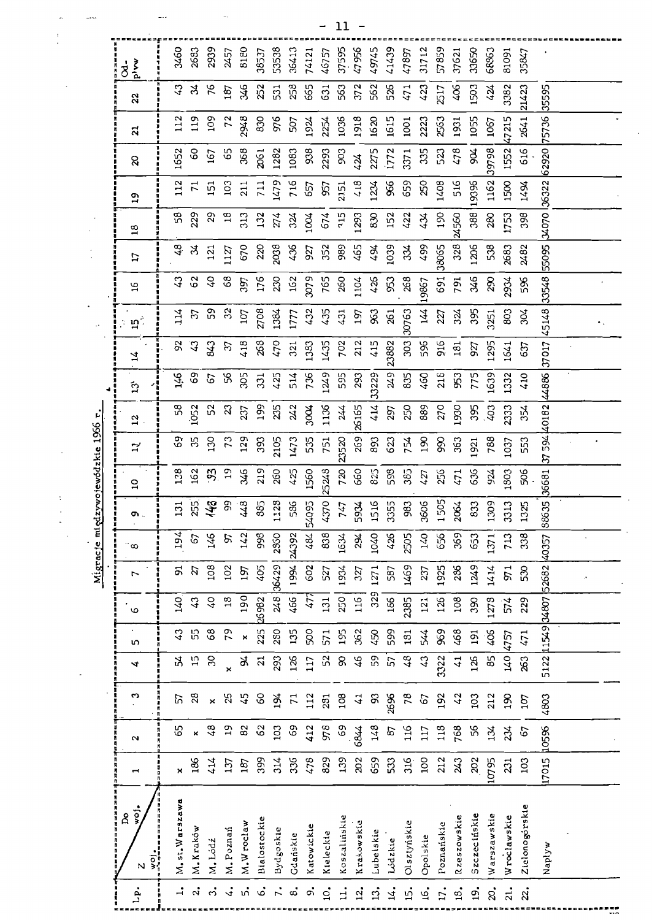| <b>A</b><br>Appl<br>$\dot{\vec{z}}$ | 3460           | 2683                       | 2939               | 2457           | 8180          | 38537                   | 53538           | 36413          | 74121             | 46757          | 37595           | 47956           | 49745                      | 41439          | 47897         | 31712          | 57859          | 37621          | 33650        | 68863                     | 81091           | 35847          |                  |  |  |
|-------------------------------------|----------------|----------------------------|--------------------|----------------|---------------|-------------------------|-----------------|----------------|-------------------|----------------|-----------------|-----------------|----------------------------|----------------|---------------|----------------|----------------|----------------|--------------|---------------------------|-----------------|----------------|------------------|--|--|
| 22                                  | $\mathfrak{L}$ | K,                         | 76                 | 187            | $\frac{3}{2}$ | 252                     | 531             | 258            | 665               | 631            | 563             | 372             | 562                        | 526            | 471           | 423            | 2517           | 406            | 1503         | 424                       | 3382            | 21423          | 35595            |  |  |
| ដ                                   | 112            | 119                        | 109                | 72             | 2948          | 830                     | 976             | 507            | 1924              | 2254           | 1036            | 1918            | 1620                       | 1615           | 1001          | 2223           | 2563           | 1931           | 1055         | 1067                      | 47215           | 2641           | 75736            |  |  |
| 8                                   | 1652           | $\infty$                   | 167                | 65             | 368           | 2061                    | 1282            | 1083           | 938               | 2293           | 500             | 424             | 2275                       | 1772           | 3371          | 335            | 523            | 478            | R            | 39798                     | 1552            | 616            | 62920            |  |  |
| 51                                  | 112            | $\overline{r}$             | $\overline{5}$     | $\overline{5}$ | 211           | $\overline{71}$         | 1479            |                | 716<br>657<br>957 |                | 2151            | 418             | 1234                       | 966            | 659           | 250            | 1408           | 516            | 19396        | 1162                      | 1500            | 1494           | 36322            |  |  |
| $\overline{a}$                      | 38             | 229                        | 29                 | 18             | 313           | 132                     | $z\overline{z}$ | $3\frac{1}{2}$ | 1004              | $674$<br>$715$ |                 | 1293            | 830                        | 152            | 422           | 434            | $\frac{8}{10}$ | 24560          | 388          | 280                       | 1753            | 398            | 34070            |  |  |
| 17                                  |                | <b>なや</b>                  | $\overline{21}$    | 127            | 670           | 220                     | 2038            | 436            | 927               | 352            | 989             | 465             | 494                        | 1039           | 334           | 499            | 38065          | 328            | 1206         | 538                       | 2683            | 2482           | 55095            |  |  |
| $\mathbf{5}$                        |                | 43                         | $\mathcal{O}$      | 68             | 397           | 176                     | 230             | 162            | 3079              | 765<br>260     |                 | 1104            | 426                        | 953            | 268           | 19867          | 691            | 791            | 346          | 290                       | 2934            | 5%             | 33548            |  |  |
| ຫຼື                                 | 114            | $5\degree$                 |                    | 32             | 107           | 2708                    | 1384            | 1777           | 432               | 435            | $\frac{1}{4}$   | $\overline{61}$ | $\frac{83}{5}$             | $\overline{3}$ | 30763         | 144            | 227            | 324            | 395          | 3251                      | 803             | 304            | 45148            |  |  |
| 4                                   |                | 8 3 3<br>8                 |                    | $\mathfrak{L}$ | 418           | 268                     | 470             | 321            | 1383              | 1435           | 702             | 212             | 415                        | 23882          | 303           | 596            | 916            | 181            | 221          | 1295                      | 1641            | 637            | 37017            |  |  |
| $\boldsymbol{\hat{c}}$              | 146            | 69                         | 67                 | နိ             | 305           | 331                     | 425             | 514            | 736               | 1249           | 595             | 293             | 33229                      | 249            | 835           | 460            | 216            | 953            | 775          | 1639                      | 1332            | 410            |                  |  |  |
| $\frac{2}{1}$                       |                | 58<br>1052                 | $52\,$             | $\mathfrak{B}$ | 237           | 199                     | 235             | $\frac{2}{4}$  | ROOL              | 1136           | $\frac{1}{4}$   | 26165           | 414                        | 297            | 250           | 889            | 270            | 930            | 395          | $\frac{1}{4}$             | 2333            | $3\frac{1}{2}$ | 294 40182 44886  |  |  |
| ゴ                                   | 69             | $\mathfrak{B}$             | 30                 | 73             | <b>129</b>    | 393                     | 2105            | 1473           | 535               | 751            | 23520           | 269             | 893                        | 623            | 754           | $\frac{8}{1}$  | 66             | 363            | 1921         | 788                       | 1037            | ິລິ            |                  |  |  |
| ă                                   | 138            | 162                        | $\mathfrak{B}$     | $\overline{c}$ | 346           | 219                     | 260             | 425            | 1560              | 25248          | 720             | 660             | 825                        | 598            | 385           | 427            | 256            | 471            | 636          | $\widetilde{\mathcal{Z}}$ | 1303            | 506            | 12<br>36681      |  |  |
| ຕ.                                  | 131            | 255                        | 48                 | 99             | 448           | 885                     | 1128            | 586            | 54095             | 4370           | 747             | 5934            | 1516                       | 3355           | 983           | 3606           | 1505           | 2064           | 833          | 1309                      | 3313            | 1325           | 88635            |  |  |
| `ထ                                  | 194            | $\mathcal{Q}$              | $\frac{3}{2}$      | B.             | 142           | 993                     | 2350            | 24392          | 484               | 838            | 1634            | 294             | 1040                       | 426            | 2505          | 140            | <b>656</b>     | 369            | 55           | 1371                      | 713             | 338            |                  |  |  |
| 7                                   | 5              | Ľ2                         | 108                | 102            | 197           | 405                     | 36429           | 1994           | 602               | 527            | 1934            | 327             | 1271                       | 587            | 1469          | 237            | 1925           | 286            | 1249         | 1414                      | $\overline{51}$ | 530            | 52682 40357      |  |  |
| ່ $\circ$                           | 140            | $\boldsymbol{\mathcal{L}}$ | $\mathcal{L}$      | 13             | 190           | 28982                   | $\frac{2}{8}$   | 466            | 477               | 131            | 250             | 116             | 329                        | 166            | 2385          | 121            | 126            | 108            | 390          | 1278                      | 574             | 229            |                  |  |  |
| ഗ                                   | $\mathfrak{Z}$ | ង្ហ                        | 68                 | 79             | ×             | 225                     | 250             | 135            | 500               | 571            | 195             | 362             | 450                        | 599            | 181           | 34             | 969            | 468            | 191          | 406                       | 4757            | 471            |                  |  |  |
| 4                                   | K              | $\frac{10}{11}$            | $\infty$           | $\star$        | λ,            | $\overline{\mathbf{z}}$ | 293             | 126            | 117               | 52             | 8               | 97              | 59                         | 57             | $\frac{3}{2}$ | $\mathfrak{Z}$ | 3322           | $\overline{4}$ | 126          | 85                        | 140             | 263            | 5122 11549 34807 |  |  |
| ఌ                                   | 57             | 28                         | $\bar{\mathbf{x}}$ | 25             | 45            | $\infty$                | 787             | $\mathbf{r}$   | 112               | 231            | $\frac{108}{2}$ | $\ddot{4}$      | $\boldsymbol{\mathcal{S}}$ | 2696           | 78            | 67             | 192            | 42             | 103          | 212                       | $\frac{8}{1}$   | 107            | 4803             |  |  |
| Z                                   | မ္မ            | ×                          | 48                 |                | 82            | $\mathcal{S}^2$         | 103             | 69             | 412               | 978            | $\frac{69}{ }$  | 6844            | 148                        | $\mathcal{B}$  | 116           | 117            | 118            | 768            | ಜ            | 134                       | $\widetilde{z}$ | 67             | 10596            |  |  |
| $\mathbf \tau$                      |                | 186                        | 414                | 137            | 187           | 399                     | 314             | 336            | 478               | 829            | 139             | 202             | 659                        | 53             | 316           | 100            | 212            | $\frac{2}{3}$  | 202          | 10795                     | $\overline{a}$  | $\overline{5}$ | 17015            |  |  |
|                                     |                |                            |                    |                |               |                         |                 |                |                   |                |                 |                 |                            |                |               |                |                |                |              |                           |                 |                |                  |  |  |
| $\sum_{i=1}^{n}$<br>ል               | M.st. Warszawa |                            |                    |                |               |                         |                 |                |                   |                |                 |                 |                            |                |               |                |                |                |              |                           |                 | Zielonogórskie |                  |  |  |
| ्रां<br>र<br>И                      |                | M.Kraków                   | M. Lódź            | M. Poznań      | M.Wroclaw     | Bialostockie            | Bydgoskie       | Gdańskie       | Katowickie        | Kieleckie      | Koszalińskie    | Krakowskie      | Lubelskie                  | Lódzkie        | Olsztyńskie   | Opolskie       | Poznańskie     | Rzeszowskie    | Szczecińskie | Warszawskie               | Wroclawskie     |                | Naplyw           |  |  |
| Ŀp.                                 |                |                            |                    | $\cdot$        | ທ່            | <u>ം</u>                |                 | ထံ             | $\ddot{\circ}$    | ≌.             | $\frac{1}{11}$  | 12.             | $\ddot{a}$                 | 14.            | $\dot{5}$     | <u>ं</u>       | $\ddot{z}$     | $\ddot{a}$     | ġ.           | $\mathbf{a}$              | 21.             | 22.            |                  |  |  |

Migracje międzywojewódzkie 1966 r.

 $\begin{array}{c} 1 \\ 1 \\ 2 \end{array}$ 

l,

 $\ddot{\phantom{1}}$ 

Ì

 $\ddot{\phantom{0}}$ 

 $\overline{\phantom{a}}$ 

**ECERE** 

 $-11 -$ 

 $\cdot$ 

 $\ddot{\phantom{a}}$ 

 $\overline{a}$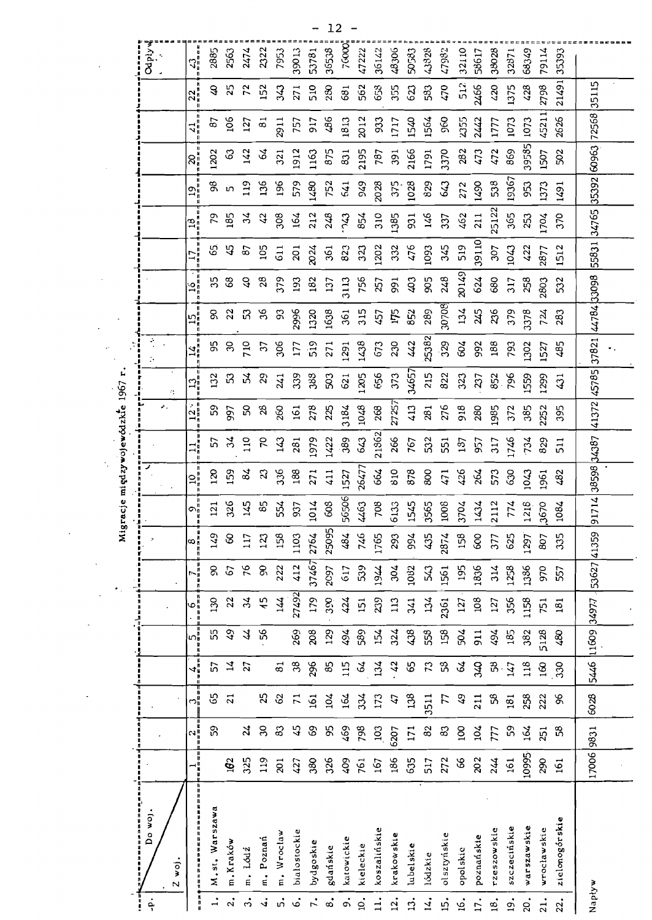| <b>Printing</b>                         |        | $\frac{2}{3}$                          | 2885                 | 2563               | 2474            | 2322           | 7953           | 39013            | 53781          | 36538          | 76000          | 47222                | 36142         | 48306             | 50583      | 43328            | 47982       | 32110          | 58617           | 38028           | 32871               | 68349          | 79114           | 35393          |                              |
|-----------------------------------------|--------|----------------------------------------|----------------------|--------------------|-----------------|----------------|----------------|------------------|----------------|----------------|----------------|----------------------|---------------|-------------------|------------|------------------|-------------|----------------|-----------------|-----------------|---------------------|----------------|-----------------|----------------|------------------------------|
|                                         |        | $2\frac{3}{4}$                         | ą.                   | 25                 | 72              | 152            | 343            | 271              | 510            | 280            | 681            | 562                  | 653           | 355               | 623        | 533              | 470         | 512            | 2466            | 420             | 1375                | 428            | 2798            | 21491          | 35115                        |
|                                         |        |                                        | 87                   | 106                | 127             | $\overline{a}$ | 2911           | 757              | 917            | 486            | 1813           | 2012                 | 933           | 1717              | 1540       | 1564             | 960         | 2355           | 2442            | 1777            | 1073                | 1073           | 4521            | 2626           | 72568                        |
|                                         |        | នះ                                     | 1202                 | $\mathcal{S}$      | 142             | ु              | 321            | 1912             | 1163           | 875            | 831            | 2195                 | 787           | 391               | 2166       | 1791             | 3370        | 282            | 473             | 472             | 869                 | 39585          | 1507            | 502            | 60963                        |
|                                         |        | $\vec{d}$                              | 98                   | ທ                  | 119             | 136            | 96             | 579              | $-430$         | 752            | 641            | 949                  | 2028          | 375               | 1028       | 829              | 643         | 272            | 1490            | 538             | 19367               | 953            | 1373            | 1491           | 35392                        |
|                                         |        | $\vec{a}$                              | 52                   | 185                | 34              | $\overline{a}$ | 308            | 164              | 212            | 248            | 543            | 854                  | 310           | 1385              | 931        | 146              | 337         | 462            | 211             | 25122           | 365                 | 253            | 1704            | 370            | 55831 34765                  |
|                                         |        | Ξ,                                     | 65                   | $\mathfrak{P}$     | 87              | 105            | $\overline{5}$ | $\overline{201}$ | 2024           | 361            | 823            | 323                  | 1202          | 332               | 476        | 1093             | 345         | 519            | 39110           | 307             | 1043                | 422            | 2877            | 1512           |                              |
|                                         |        | $\frac{16}{1}$                         | 55                   | 89                 | $\mathcal{O}$   | 28             | 379            | 193              | 182            | 137            | 3113           | 756                  | 257           | 991               | 403        | 905              | 248         | 20149          | 624             | 680             | 317                 | 258            | 2803            | 532            | 44784 3098                   |
|                                         |        | $\frac{15}{11}$                        |                      | 82                 | ន               | 36             | $\mathfrak{S}$ | 2996             | 1320           | 1638           | 361            | 315                  | 457           | IV <sub>5</sub>   | 852        | 289              | 30708       | 134            | 245             | 236             | 379                 | 3378           | 724             | 283            |                              |
| ÷,                                      |        | $\frac{14}{14}$                        | 59                   | $\mathfrak{S}$     | 710             | 57             | 306            | 177              | 519            | 271            | 1291           | 1438                 | 673           | 230               | 442        | 25382            | 329         | 604            | 992             | 188             | 793                 | 302            | 527             | 485            | 37821                        |
| P,                                      |        | $2\frac{1}{2}$                         | 132                  |                    | <u>ជី</u>       | 29             | 241            | 339              | 383            | $503\,$        | 621            | 1205                 | 656           | 373               | 34657      | 215              | 822         | 323            | 237             | 852             | 796                 | 559            | 1299            | 431            | 45785                        |
| ۶.                                      |        | $\frac{1}{2}$                          | 59                   | 997                | ${\tt S}$       | 28             | 260            | 161              | 278            | 225            | 3184           | 1048                 | 268           | 27257             | 413        | 281              | 276         | 918            | 280             | 1985            | 372                 | 385            | 2252            | 395            |                              |
|                                         |        | $\Xi_{\bullet}^{i}$                    | 57                   | 34                 | 10 <sub>0</sub> | $\mathcal{L}$  | $\overline{3}$ | 281              | 1979           | 1422           | 389            | 643                  | 21962         | 266               | 767        | 532              | 551         | 137            | 957             | 317             | 1746                | 734            | 829             | 511            | 91714 38598 34387 41372      |
| J                                       |        | $\mathsf{S}^{\mathsf{u}}_{\mathsf{u}}$ | 120                  | 159                | $\mathbf{g}$    | $\mathfrak{B}$ | 336            | 188              | 271            | 411            | 1527           | 26477                | 664           | 810               | 878        | 800              | 471         | 426            | 264             | 573             | 630                 | $\overline{3}$ | 1961            | 482            |                              |
|                                         |        |                                        | 121                  | 326                | 145             | 89             | 554            | 937              | 1014           | 603            | 56506          | 4463                 | 708           | 6133              | 1545       | 3565             | 1008        | 3704           | 1434            | 2112            | 774                 | 1216           | 3670            | 1084           |                              |
|                                         |        | $ \omega_*^*$                          | 149                  | $\infty$           | 117             | 123            | 158            | 1103             | 2764           | 25095          | 484            | 746                  | 1765          | 293               | 994        | 435              | 2874        | 158            | 600             | 377             | 625                 | 1297           | 807             | 335            |                              |
|                                         |        |                                        | 8                    | 67                 | 76              | g,             | 222            | 412              | 37467          | 2097           | 617            | 539                  | 1944          | 304               | 1082       | 33               | 1561        | 195            | 1836            | 314             | 1258                | 1386           | 970             | 557            |                              |
|                                         |        | ა¦                                     | $\mathbf{5}^{\circ}$ | 22                 | 34              | $\frac{5}{5}$  | 144            | 27492            | 179            | 350            | 424            | 151                  | 239           | 113               | 341        | 134              | 2361        | 127            | 108             | 127             | 356                 | 1158           | $\overline{2}$  | 181            |                              |
|                                         |        | ∣ທ"ິ                                   | າບິ                  | 49                 | 4               | 56             |                | 269              | 208            | 129            | 494            | 589                  | 154           | 324               | 438        | 558              | 158         | 504            | 911             | 494             | 185                 | 382            | 5128            | 480            |                              |
|                                         |        | √",                                    |                      | 57<br>14           | $\overline{27}$ |                | $\overline{6}$ | $38\,$           | 296            | 85             | 115            | 64                   | 134           | 42                | 65         | 73               | $53\,$      | $\mathcal{Z}$  | 340             | $\frac{3}{5}$ . | 147                 | 116            | $\overline{8}$  | ္သာ            | 5446 11609 34977 53627 41359 |
|                                         |        | ∣က္။                                   | 55                   | $\overline{21}$    |                 | 25             | 62             | $\overline{r}$   | $\overline{5}$ | 104            | 164            | 334                  | 173           | Þ                 | 138        | 3511             | 77          | $\mathcal{G}$  | 211             | 58              | $\mathbf{\ddot{B}}$ | 258            | 222             | 96             | 6028                         |
|                                         |        | $\sim$                                 | 59                   |                    | $\overline{z}$  | $\mathbf{S}$   | 83             | 45               | 69             | 95             | 469            | 798                  | 103           | 6207              | 171        | $\boldsymbol{8}$ | 83          | $\overline{5}$ | $\frac{104}{1}$ | 777             | S9                  | 164            | 25 <sub>1</sub> | 38             |                              |
| To sear                                 |        | $\mathbf{\vec{u}}$                     |                      | $\mathbf{\hat{E}}$ | 325             | 119            | $\overline{a}$ | 427              | 380            | 326            | 409            | 761                  | 167           | 186               | 635        | 517              | 272         | 66             | 202             | 244             | 161                 | 10995          | 290             | 161            | 17006 9831                   |
| 化对称相比 使计算器打折开<br>Do woj.<br>n<br>:<br>n | ÿ<br>N |                                        | M.st. Warszawa       | m.Kraków           | m. Lódź         | m. Poznań      | m. Wroclaw     | bialostockie     | bydgoskie      | gdańskie       | katowickie     | kieleckie            | koszalińskie  | krakowskie        | lubelskie  | lódzkie          | olsztyńskie | opolskic       | poznańskie      | rzeszowskie     | szczecińskie        | warszawskie    | wrocławskie     | zielonogórskie |                              |
| ؋                                       |        |                                        | ∹                    | $\mathbf{a}$       | $\ddot{\circ}$  | $\ddot{ }$     | $\dot{a}$      | Ġ,               | $\mathbf{r}$ . | $\ddot{\circ}$ | $\ddot{\circ}$ | $\dot{\mathbf{p}}$ . | $\frac{1}{1}$ | $\overline{12}$ . | $\ddot{1}$ | 14.              | ដ្ឋ         | 16.            | 17.             | 18.             | 19.                 | $\overline{a}$ | $\frac{1}{2}$   | 22.            | Napływ                       |

Migracje międzywojewódzkie 1967 r.

 $\ddot{\phantom{a}}$ 

ł,

 $\ddot{\phantom{0}}$ 

 $\ddot{\phantom{a}}$ 

ŀ,

 $\ddot{\phantom{0}}$ 

 $\frac{1}{2}$ 

 $\ddot{\phantom{0}}$ 

 $-12 -$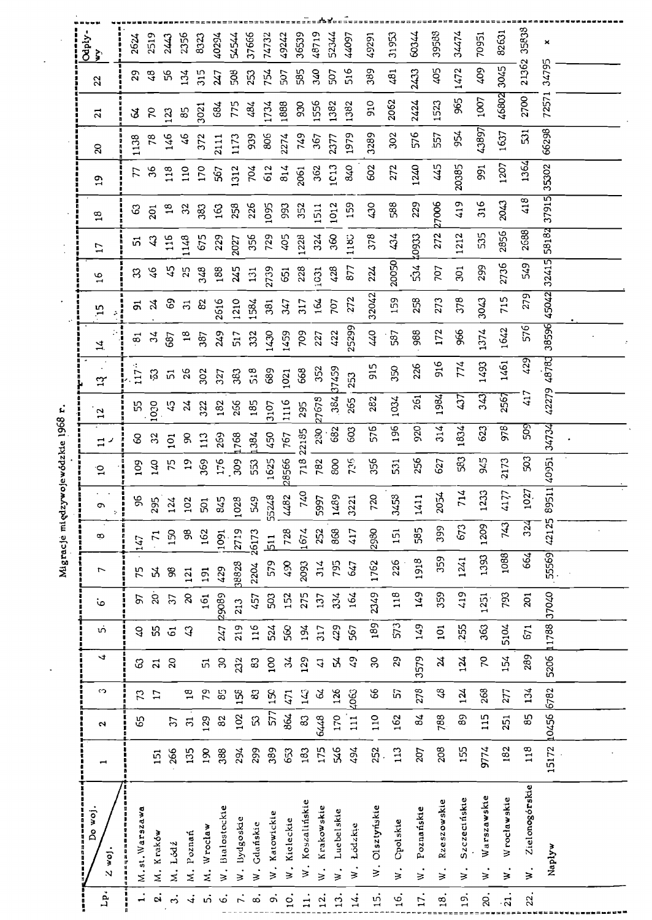Migracje międzywojewódzkie 1968 r.

 $\ddot{\phantom{0}}$ 

 $\ddot{\phantom{0}}$ 

 $\ddot{\phantom{0}}$ 

 $\ddot{\phantom{0}}$ 

 $\frac{1}{2}$ 

 $\ddot{\phantom{0}}$ 

 $\ddot{\phantom{a}}$ 

| Odply-<br>$\boldsymbol{\zeta}$  | 2624                | 2519               | 2443              | 2356                       | 8323           | 40294                      | 77575         | 37666                                | 74732                                   | 49242          | 36539               | 48719                | 52344                   | 44097                      | 49291                 | 31953                        | 60344                | 39588                        | 34474                         | 70951                    | 82631            | 35838                       | ×                       |  |  |
|---------------------------------|---------------------|--------------------|-------------------|----------------------------|----------------|----------------------------|---------------|--------------------------------------|-----------------------------------------|----------------|---------------------|----------------------|-------------------------|----------------------------|-----------------------|------------------------------|----------------------|------------------------------|-------------------------------|--------------------------|------------------|-----------------------------|-------------------------|--|--|
| 22                              | 29                  | $\mathfrak{B}$     | နိ                | 134                        | 315            | 247                        | 58            | 253                                  | 754                                     | 507            | 585                 | 340                  | 507                     | $\frac{6}{2}$              | 389                   | 481                          | 2433                 | 405                          | 1472                          | 409                      | 3045             | 21362                       | 34795                   |  |  |
| $\overline{a}$                  | S.                  | $\mathcal{L}$      | 123               | $85$                       | 3021           | 684                        | 775           | 484                                  | 1734                                    | 1888           | 930                 | 1556                 | 1382                    | 1382                       | 910                   | 2062                         | 2424                 | 1523                         | 965                           | 1007                     | 46802            | 2700                        | 72571                   |  |  |
| S                               | 1138                | 78                 | 146               | 97                         | 372            | 2111                       | 1173          | 939                                  | 806                                     | 2274           | 749                 | 367                  | 2377                    | 1979                       | 3289                  | 302                          | 576                  | 557                          | 954                           | 43897                    | 1637             | $\overline{53}$             | 66298                   |  |  |
| $\overline{a}$                  | 77                  | 36                 | 118               | 110                        | 170            | 567                        | 1312          | 704                                  | 612                                     | 814            | 2061                | 362                  | 1C13                    | 840                        | 602                   | 272                          | 1240                 | 45                           | 20385                         | 991                      | 1207             | 1364                        | 35302                   |  |  |
| 18                              | 3                   | $\overline{a}$     | $^{18}$           | 32                         | 383            | 163                        | 258           | 226                                  | 1095                                    | 993            | 352                 | 1511                 | 1012                    | 159                        | 430                   | 588                          | 229                  | 27006                        | 419                           | 316                      | 2043             | 418                         | 37915                   |  |  |
| 17                              | ភ                   | $\mathcal{Z}$      | 116               | 1148                       | 675            | 229                        | 2027          | 356                                  | 729                                     | 405            | 1228                | 324                  | 360                     | 1180                       | 378                   | 434                          | <b>10933</b>         | 272                          | 1212                          | 535                      | 2856             | 2688                        | 58182                   |  |  |
| $\frac{6}{1}$                   | $\mathbf{B}$        | 97                 | 45                | 25                         | 348            | 188                        | 245           | 131                                  | 2739                                    | 651            | 228                 | 1031                 | 428                     | 877                        | 224                   | 20050                        | 534                  | 707                          | 301                           | 299                      | 2736             | 549                         | 32415                   |  |  |
| $\mathbf{L}$                    | $\overline{5}$      | K,                 | G9                | $\overline{5}$             | 82             | 2616                       | 1210          | 1584                                 | 381                                     | 347            | 317                 | 164                  | 707                     | 272                        | 32042                 | 159                          | 258                  | 273                          | 378                           | 3043                     | 715              | 279                         | 45042                   |  |  |
| 4                               | $\ddot{\mathbf{e}}$ | 34                 | 687               | 18                         | 387            | 249                        | 517           | 332                                  | 1430                                    | 1459           | 709                 | 227                  | 422                     | 25299                      | 40                    | 587                          | 988                  | 172                          | 966                           | 1374                     | 1642             | 576                         | 38596                   |  |  |
| $\mathfrak{p}$                  | 117                 | ន្ល                | $\vec{D}$         | 26                         | 302            | 327                        | 383           | 5.8                                  | 689                                     | 1021           | 668                 | 352                  | 37459                   | 253                        | 915                   | 350                          | 226                  | 916                          | 774                           | 1493                     | 1461             | 429                         | 48783                   |  |  |
| 12                              | ង                   | 1030               | ľЗ                | 24                         | 322            | 182                        | 256           | $185\,$                              | 3107                                    | 1116           | 295                 | 27678                | .384                    | 265                        | 282                   | 1034                         | 261                  | 1984                         | 437                           | 343                      | 2567             | 417                         | 42279                   |  |  |
| $\Xi$ $\overline{\phantom{a}}$  | 8                   | 32                 | $\overline{5}$    | g                          | 113            | 269                        | 768           | 384                                  | 450                                     | 767            | 22185               | 230                  | 682                     | SO <sub>3</sub>            | 576                   | 196                          | 920                  | 314                          | 1834                          | 623                      | 978              | န္တ                         | 34734                   |  |  |
| $\mathbf{C}$                    | 109                 | 140                | $\frac{5}{2}$     | $\overline{19}$            | 369            | 176                        | $\sec$        | 553                                  | 1625                                    | 28566          | 718                 | 782                  | 800                     | 736                        | 356                   | 531                          | 256                  | 627                          | 583                           | 945                      | 2173             | 503                         | 40951                   |  |  |
| ō                               | ೫                   | 295                | 124               | 102                        | $\overline{5}$ | 845                        | 1028          | 549                                  | 55248                                   | 4482           | 740                 | 5997                 | 1489                    | 3221                       | 720                   | 3458                         | 1411                 | 2054                         | 714                           | 1233                     | 4177             | 1027                        | $\overline{\Xi}$<br>895 |  |  |
| $\infty$                        | 147                 | $\overline{r}$     | 150               | 98                         | 162            | 1091                       | 2719          | 26173                                | $\overline{51}$                         | 728            | 1674                | 252                  | 868                     | 417                        | 2930                  | 151                          | 585                  | 399                          | 673                           | 1209                     | 743              | 324                         | 42125                   |  |  |
| $\overline{ }$                  | 75                  | ង                  | $\mathcal{B}$     | 121                        | 191            | 429                        | 38828         | 2204                                 | 579                                     | 400            | 2093                | 314                  | 795                     | 647                        | 1762                  | 226                          | 1918                 | 359                          | 1241                          | 1393                     | 1088             | 664                         | 55569                   |  |  |
| مأ                              | 5                   | $\overline{S}$     | 37                | $\boldsymbol{\mathcal{S}}$ | 161            | 29089                      | 213           | 457                                  | 503                                     | 152            | 275                 | 137                  | $3\lambda$              | 164                        | 2349                  | $118$                        | 149                  | 359                          | 419                           | 1251                     | 793              | 201                         | 37040                   |  |  |
| ιó                              | $\mathcal{G}$       | က္က                | $\vec{6}$         | $\mathcal{C}$              |                | 247                        | 219           | 116                                  | 524                                     | S60            | 194                 | 317                  | 429                     | 567                        | 189                   | 573                          | 149                  | 101                          | .255                          | 363                      | 5104             | 671                         | 1788                    |  |  |
| A                               | ଌ                   | $\overline{z}$     | $\overline{c}$    |                            | ភ              | $\mathcal{S}^{\mathsf{C}}$ | 232           | 83                                   | 100                                     | 34             | 129                 | $\ddot{r}$           | Ķ                       | $\mathcal{L}^{\mathbf{D}}$ | $\mathcal{S}^{\circ}$ | 29                           | 3579                 | X,                           | 124                           | $\mathcal{L}$            | 154              | 289                         | 5206                    |  |  |
| S                               | 73                  | 17                 |                   | 18                         | 79             | 55                         | 158           | $\mathbf{g}$                         | 150                                     | 471            | 143                 | $\mathcal{R}$        | 126                     | 4063                       | 99                    | 57                           | 278                  | $\mathcal{Z}$                | 124                           | 268                      | 277              | 134                         | 6782                    |  |  |
| $\sim$                          | 65                  |                    | 57                | $\overline{5}$             | 129            | 82                         | 102           | ន                                    | 577                                     | 864            | $\boldsymbol{8}$    | 6448                 | 170                     | $\Xi$                      | 110                   | 162                          | $\mathbf{g}$         | 788                          | $\mathbf{8}$                  | 115                      | 251              | 58                          | 10456                   |  |  |
|                                 |                     | 151                | 266               | 135                        | $\overline{5}$ | 388                        | 294           | 299                                  | 389                                     | 653            | 183                 | 175                  | 375                     | 494                        | 252                   | 113                          | 207                  | 208                          | 155                           | 9774                     | 182              | $118$                       | 15172                   |  |  |
| Do woj.<br>lo.w<br>$\mathbf{v}$ | M.st. Warszawa      | M. Kraków          | Lódž<br>$\dot{z}$ | M. Poznań                  | M. Wrocław     | W. Bialostockie            | W. llydgoskie | Gdańskie<br>$\overline{\phantom{a}}$ | Katowickie<br>$\overline{\mathbf{y}}$ . | W. Kieleckie   | . Koszalińskie<br>≽ | Krakowskie<br>.<br>≥ | Lucbelskie<br>$\dot{ }$ | Łódzkie<br>$\dot{ }$       | Olsztyńskie<br>ż      | <b>Opolskie</b><br>$\dot{ }$ | Poznańskie<br>.<br>≥ | Rzeszowskie<br>$\frac{1}{2}$ | Szczecińskie<br>$\frac{1}{2}$ | Warszawskie<br>$\dot{ }$ | Wrocławskie<br>⋾ | Zielonogórskie<br>$\dot{ }$ | Napiyw                  |  |  |
| ۔<br>4                          | $\ddot{ }$          | $\dot{\mathbf{c}}$ | $\ddot{\circ}$    | $\ddot{ }$                 | ທຳ             | $\dot{\circ}$              | $\mathcal{L}$ | $\dot{\infty}$                       | $\ddot{\circ}$                          | $\overline{5}$ | $\frac{1}{11}$      | $\overline{12}$      | 13                      | $\frac{4}{1}$              | $\vec{a}$             | <u>يه</u>                    | 17.                  | $\overline{18}$              | <u>ຕັ</u>                     | $\ddot{\mathrm{a}}$      | $\frac{1}{21}$ . | 22.                         |                         |  |  |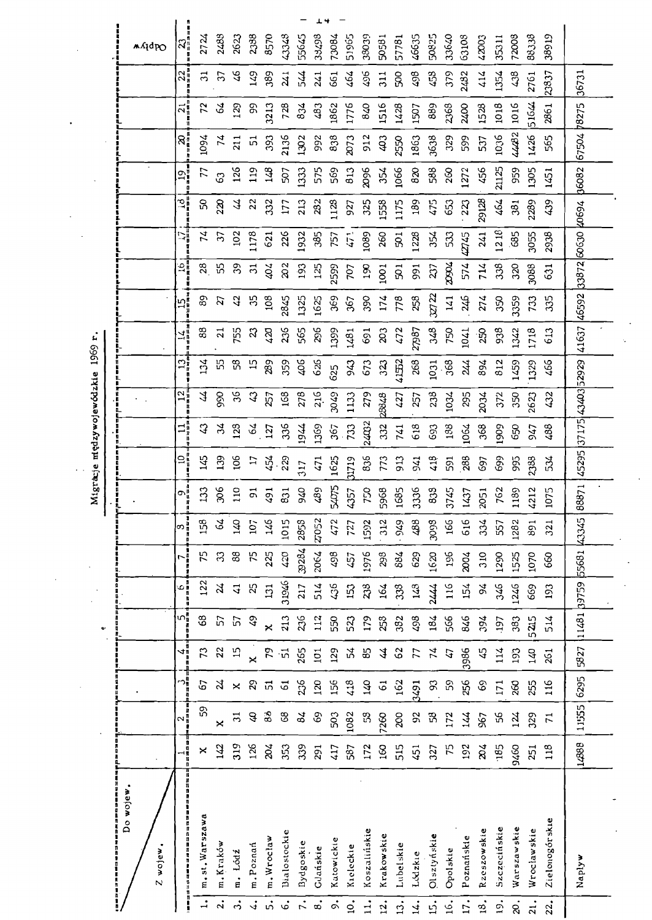| <b>MAdpo</b>          |                                        | 2724                         | 2488                    | <b>2623</b><br>2338 |                         | 8570              | 43348               | 55645          | 33498          | 73084         | 51965                                     | 38039          | 50581          | 57781              | 46635   | 50825          | 33640           | 63108         | 42003          | 35311        | 72008        | 88338       | 38919            |                   |
|-----------------------|----------------------------------------|------------------------------|-------------------------|---------------------|-------------------------|-------------------|---------------------|----------------|----------------|---------------|-------------------------------------------|----------------|----------------|--------------------|---------|----------------|-----------------|---------------|----------------|--------------|--------------|-------------|------------------|-------------------|
|                       | $2\frac{1}{2}$                         |                              | $3\,5$                  | $\mathfrak{F}$      | 149                     | 389               | $\overline{z}$      | $\frac{54}{4}$ |                | 661           | 464                                       | 496            | 311            | $500\,$            | 498     | 458            | 379             | 2432          | 414            | 1354         | 438          | 2761        | 23837            | 36731             |
|                       | ភុ                                     |                              | 739                     |                     | 99                      | 3213              | 728                 | 834            | 483            | 1862          |                                           | 840            | 1516           |                    |         | 889            |                 |               |                |              |              |             |                  |                   |
|                       | ្រុក                                   | 1601                         |                         | $\frac{74}{211}$    | $\overline{D}$          | 393               |                     |                | 992            | 838           | 1776                                      | 912            | 43             | 1428               | 1507    |                | 2368<br>329     | 2400<br>599   | 1528<br>537    | 1018         | 1016<br>4482 | 51644       | 2861<br>565      | 67504 78275       |
|                       | ္                                      | $\mathcal{L}$                |                         |                     |                         |                   | 2136                | 1302           |                |               | 2073                                      |                |                | 2550               | 1863    | 3638           |                 |               |                | 1036         |              | 1426        |                  |                   |
|                       | ្មី                                    |                              | S<br>ន ន                | $\mathcal{A}$       | $\frac{129}{138}$<br>22 |                   |                     | 1333           | 575            | 569           | 813                                       | 2096           | 354            | 1066               | 820     | 588            | 260             | 1272          | 456            | 21125        | 959          | 1305        | 1451             | 36082             |
|                       | ٦į                                     |                              | $74$<br>$57$            |                     |                         | 332               | $177$<br>$232$      |                |                | 1128          | 927                                       | 325            | 1558           | 1175               | 189     | 475            | හි              | 223           | 29128          | 464          | 381          | 2289        | 439              |                   |
|                       | $\frac{1}{2}$                          |                              |                         | 102                 | (178)                   | <b>621</b><br>226 |                     | 1932           |                |               | 385<br>757<br>471<br>99                   |                | 260            | $\frac{501}{1228}$ |         | 354<br>533     |                 | 42745         | 241            | 1218         | ,685         | 3055        | 2938             | 33872 60630 40694 |
|                       |                                        |                              | ន<br>ភ                  |                     |                         |                   |                     | 193<br>125     |                | 2599          | $\begin{array}{c} 707 \\ 190 \end{array}$ |                | 1001           | 501                | 991     | 237            | 2004            |               | $574$<br>714   | 338          | 320          | 3088        | 631              |                   |
|                       | "ב                                     |                              |                         | $\mathfrak{a}$      | $\mathfrak{B}$          | 108               | 2845                | 1325<br>1625   |                |               | 369<br>367                                |                |                | 390 H 7 7 8 8      |         | 32722          | 141             | 246           | 274            | 350          | 3359         | 733         | 335              | 46592             |
|                       | 그                                      | 88                           | <b>21 52 32 43</b>      |                     |                         |                   | 236                 | 565            | 296            | 1399          | 1481                                      | 691            | 203<br>472     |                    | 27987   | 348<br>750     |                 | 1041          | - 30           | 938          | 1342         | 1718        | 613              | 41637             |
|                       |                                        | 134                          |                         | ង ន ក នី            |                         |                   | 359                 | 406            | 626            | 625           |                                           | 3 2 3<br>3 3 3 |                | 41552              | 268     | 1031           | 368             | $\frac{1}{2}$ | 894            | 812          | 1459         | 1329        | 466              | 37175 43403 52929 |
|                       | $\frac{2}{16}$                         | $\mathcal{A}$                | 990                     |                     | 3830                    |                   | 168                 | 278            | 216            | 3049          | 1133                                      | 279            | 28348          | 427                | 257     | 238            | 1034            | 295           | 2034           | 372          | 350          | 2623        | 432              |                   |
|                       |                                        |                              | $3 \times 5$            |                     | $64$<br>127             |                   | 336                 | 1944           | 1369           |               | $367$<br>$733$                            | 24032          |                | 332<br>741<br>618  |         | 693            | 188             | 1064          | 368            | 1909         | 650          | 547         | 488              |                   |
|                       | ្ម¦្ព                                  | 145                          | 139                     | $\overline{5}$      | $\overline{17}$         | $454$<br>$229$    |                     | 317            | 471            | 1625          | 31719                                     | 836            | $773$ $913$    |                    | 941     | 418            | $\overline{5}$  | 288           | 697            | 699          | 995          | 2388        | 534              | 45295             |
|                       | ားူ                                    | 133                          | 306                     | 110                 | $\overline{5}$          | <b>នូ</b> នី      |                     | 940            | 489            | 54075         | 4357                                      | 750            | 5968           | 1685               | 3336    | 838            | 3745            | 1437          | 2051           | 762          | 1189         | 4212        | 1075             | 88871             |
|                       | မြူ                                    | 158                          | $\mathfrak{A}$          | 140                 | 52                      | 146               | 1015                | 2858           | 27052          | 472           | 727                                       | 1592           | 312            | 949                | 488     | 3093           | 166             | 616           | 334            | 557          | 1282         | 891         | 321              | 43345             |
|                       | r.                                     | 52                           | 33                      | 88                  | 52                      | 225               | 420                 | 39284          | 2064           | 498           | 457                                       | 1976           | 298            | 884                | 629     | 1620           | 196             | 2004          | 310            | 1290         | 1525         | 1070        | 660              | 55681             |
|                       | iء<br>∎                                | 122                          | $\frac{1}{2}$           | $\overline{a}$      | 25                      | $\overline{131}$  | 31946               | 217            | 514            | 436           | 153                                       | 238            | 164            | 338                | 148     | 2444           | 116             | 154           | $\frac{8}{4}$  | 346          | 1246         | 669         | 193              |                   |
|                       | ហ•ូ                                    | 3                            | 57                      | 57                  | $\mathcal{L}$           |                   | 213                 | 236            | 112            | 550           | 523                                       | 179            | 258            | 382                | 498     | 184            | 566             | 846           | 394            | 197          | 383          | 5215        | 514              | 11481 39759       |
|                       | √i                                     | 73                           | 22                      | 15                  | $\overline{\mathsf{x}}$ | 79                | $\cdot\overline{D}$ | 265            | $\overline{5}$ | 129           | 24                                        | 59             | 4              | 62                 | 77      | 74             | t,              | 3986          | $\mathfrak{L}$ | 114          | 193          | 140         | $\overline{251}$ | 5827              |
|                       | $\mathbb{P}^{\mathbf{h}}_{\mathbf{h}}$ | 67                           | $\overline{z}$          | ×                   | 29                      | ភ                 | 51                  | 256            | 120            | 156           | 418                                       | 140            | $\overline{6}$ | 162                | 3491    | $\mathfrak{S}$ | ္တ              | 256           | \$             | 171          | 260          | 255         | 116              | 6295              |
|                       | $\sim$                                 | $\mathfrak{S}^{\mathcal{O}}$ | $\overline{\mathbf{x}}$ | 51                  | Э                       | ప                 | 80                  | $\mathbf{g}$   | 89             | 503           | 1082                                      | B              | 7260           | 200                | 92      | အ              | 172             | 144           | 967            | 95           | 124          | 329         | $\mathbf{r}$     | 11555             |
|                       |                                        | ×                            | $\frac{1}{2}$           | 319                 | 126                     | $\approx$         | 353                 | 339            | 291            | 417           | 587                                       | 172            | 50             | 515                | 451     | 327            | 75              | 192           | $\approx$      | 185          | 9460         | 251         | 118              | 14888             |
| Do wojew.<br>Z wojew. | 53222225                               | m.st. Warszawa               | m.Kraków                | m. Lódź             | m.Poznań                | m.Wrocław         | Bialostockie        | Bydgoskie      | Gdańskie       | Katowickie    | Kieleckie                                 | Koszalińskie   | Krakowskie     | Lubelskie          | Lódzkie | Olsztyńskie    | Opolskie        | Poznańskie    | Rzeszowskie    | Szczecińskie | Warszawskie  | Wrocławskie | Zielonogórskie   | Naplyw            |
|                       |                                        | $\ddot{ }$                   | $\ddot{\alpha}$         | $\dot{\sigma}$      | $\ddot{ }$              | $\dot{5}$         | $\dot{\circ}$       | $\mathbf{r}$ . | $\ddot{a}$     | $\dot{\circ}$ | $\dot{q}$                                 | $\frac{1}{11}$ | 12.            | $\ddot{c}$         | 14.     | ្មុ            | $\overline{16}$ | 17.           | 13.            | 19.          | $\dot{a}$    | 21.         | 22.              |                   |

Migracje międzywojewódzkie 1969 r.

 $\hat{\epsilon}$  :

 $\ddot{\phantom{0}}$ 

 $\ddot{\phantom{a}}$ 

j.

 $\ddot{\phantom{a}}$ 

 $\ddot{\phantom{0}}$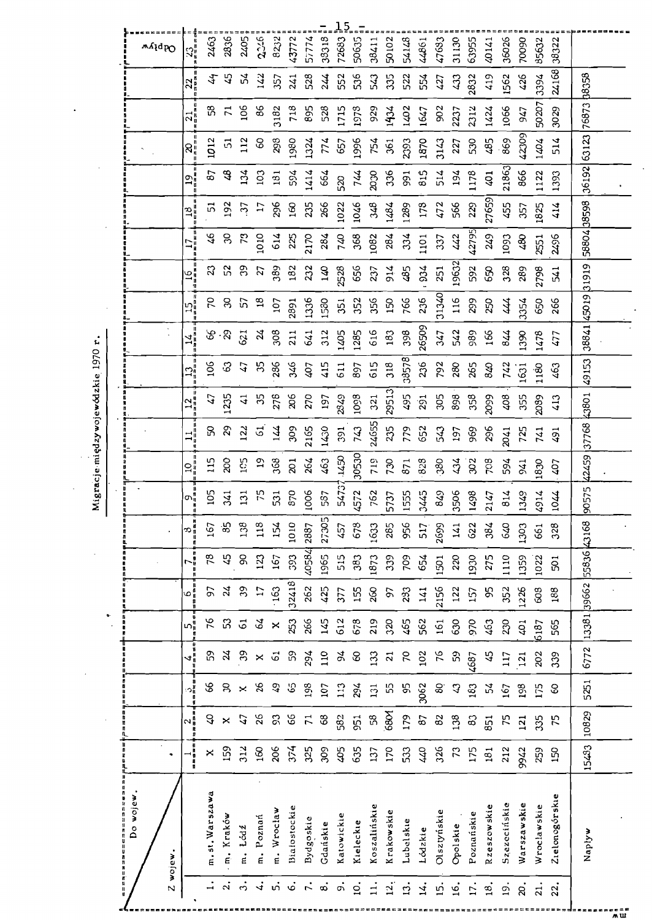| 有目目                      | 医乳乳肿麻痹 计数据数据 机计算机计<br>Do wojew.<br>           <br> |                |                            |               |                             |                       |                |                                      |            |                 |                |                |                          |                                     |                |                   |                                                                        |                        |                  |                     |                 |                | <b>MAdpo</b> |
|--------------------------|----------------------------------------------------|----------------|----------------------------|---------------|-----------------------------|-----------------------|----------------|--------------------------------------|------------|-----------------|----------------|----------------|--------------------------|-------------------------------------|----------------|-------------------|------------------------------------------------------------------------|------------------------|------------------|---------------------|-----------------|----------------|--------------|
| $\overline{\mathcal{L}}$ | wojew                                              |                |                            |               |                             |                       |                |                                      |            |                 |                |                |                          |                                     |                |                   |                                                                        |                        |                  |                     |                 |                |              |
|                          |                                                    |                | ∾¦                         | ាំ            | ᅿ                           | ທ"                    | ¶ ص            | $\mathcal{L}^{\bullet}_{\mathbf{u}}$ | ြး         | თ¦              | ⊴¦ู้           | ⊐¦่            | $\Xi^\bullet_\mathsf{n}$ | $\Xi_*^{\scriptscriptstyle\bullet}$ | ≍¦             | ្មដ្ឋ             | $\overline{\mathcal{L}}^{\, \text{tr}}_{\, \text{tr}}$<br>¦ٍّ ٍٍ<br>"أ | ⊿็เ                    | $\vec{a}$        | ¦a"                 | ដូរ៉ូ           | $2\frac{3}{4}$ |              |
| $\ddot{ }$               | m.st. Warszawa                                     | ×              | S.                         | 8             | SS.                         | 76                    | 57             | 73                                   | 167        | 105             | 115            | χ              | 47                       | 106                                 |                |                   | $\mathfrak{Z}$                                                         | 97                     | ភ                | 1012<br>87          | 38              |                | 2463         |
| $\ddot{\sim}$            | m. Kraków                                          | 159            | $\boldsymbol{\times}$      | S             | $\frac{2}{3}$               | 53                    | $\overline{z}$ | $45\,$                               | 35         | 341             | $\infty$       | $\mathbf{S}$   | 1235                     | $\mathcal{S}$                       | 8.8            |                   |                                                                        | 192<br>30 <sub>5</sub> |                  | 5<br>$\mathfrak{B}$ | $\overline{71}$ | 44             | 2836         |
| $\dot{\sigma}$           | m. Łódź                                            | 312            | 47                         | ×             | 39                          | $\overline{6}$        | 39             | 8                                    | 138        | 131             | 521            | 122            | $\overline{4}$           | 47                                  | 621            | <b>ARSES</b>      | ິລ ສ                                                                   | $\ddot{\mathcal{E}}$   | 134              | 112                 | 106             | λ,             | 2405         |
| $\ddot{ }$               | m. Poznań                                          | 160            | 26                         | 26            | ×                           | $\mathcal{S}$         | 17             | 123                                  | 118        | 75              | $\overline{a}$ | $\overline{5}$ | 55                       | 55                                  | $\mathfrak{A}$ |                   | 1010<br>$\overline{z}$                                                 | $\overline{17}$        | $\overline{5}$   | 8                   | 86              | 142            | 2.1.6        |
| ທໍ                       | m. Wrocław                                         | 206            | S.                         | \$7           | $\overline{6}$              | $\boldsymbol{\times}$ | 163            | 167                                  | 154        | $\overline{53}$ | 368            | 144            | 278                      | 286                                 | 308            | 107               | 614<br>389                                                             | 296                    | $\overline{131}$ | 298                 | 3182            | 357            | 8232         |
| نۍ<br>ن                  | Biatostockie                                       | 374            | 99                         | 3             | $\mathcal{S}^{\mathcal{O}}$ | 253                   | 32418          | 593                                  | 1010       | 870             | 201            | 309            | 206                      | 346                                 | 211            | 2891              | 225<br>182                                                             | 160                    | 594              | 1980                | 718             | 241            | 43772        |
| $\ddot{\sim}$            | Bydgoskie                                          | 325            | $\overline{71}$            | 198           | 294                         | 266                   | 262            | 40584                                | 2887       | 1006            | 264            | 2165           | 270                      | 407                                 | 641            | 1336              | 2170<br>232                                                            | 235                    | 1414             | 1324                | 895             | 528            | 5777         |
| $\dot{\infty}$           | Gdańskie                                           | 309            | $\boldsymbol{\mathcal{S}}$ | 107           | 110                         | 145                   | 425            | 1965                                 | 27305      | 587             | 463            | 1450           | 197                      | 415                                 | 312            | 1580              | 284<br>$\frac{1}{4}$                                                   | 266                    | 664              | 774                 | 528             | 244            | 33318        |
| $\ddot{\circ}$           | Katowickie                                         | 405            | 582                        | 113           | $\frac{9}{4}$               | 612                   | 377            | 515                                  | 457        | 5473            | 1450           | 391            | 2349                     | 611                                 | 1405           | $\overline{3}$    | 740<br>2528                                                            | 1022                   | 520              | 657                 | 1715            | 552            | 72683        |
| $\vec{c}$                | Kieleckie                                          | 635            | 951                        | 294           | 8                           | 678                   | 155            | 383                                  | 678        | 4572            | 30530          | 543            | 1098                     | 897                                 | 1285           | 352               | 368<br>656                                                             | 1046                   | 744              | 1996                | 1978            | 536            | 50635        |
| $\mathbf{I}$             | Koszalińskie                                       | 137            | 58                         | 131           | 133                         | 219                   | 250            | 1873                                 | 1633       | 762             |                | 24655          | 321                      | 615                                 | 616            | 356               | 1082<br>237                                                            | 348                    | 2030             | 754                 | 929             | 543            | 3841         |
| $\overline{2}$ .         | Krakowskie                                         | 170            | 680                        | က္က           | $\overline{z}$              | 320                   | 5              | 339                                  | 285        | 5737            | 719<br>730     | 235            | 29513                    | 318                                 | $183\,$        | 150               | 284<br>914                                                             | 1484                   | 336              | 361                 | 1434            | 335            | 50102        |
| $\dot{\mathbb{C}}$       | Lubelskie                                          | 533            | 179                        | 95            | $\mathcal{L}$               | 465                   | 233            | 709                                  | 956        | 1555            | 871            | 779            | 495                      | 38578                               | 398            | 766               | 334<br>485                                                             | 1289                   | 991              | 2393                | 1402            | 522            | 54148        |
| $\vec{A}$                | Lódzkie                                            | 40             | 87                         | 3062          | 102                         | 562                   | 141            | 654                                  | 517        | 3445            | 828            | 652            | 291                      | 236                                 | 26509          | 236               | 1101<br>934                                                            | 178                    | 815              | 1870                | 1647            | 554            | 44861        |
| $\overline{10}$          | Olsztyńskie                                        | 326            | 82                         | 80            | 56                          | 161                   | 2156           | 1501                                 | 2699       | 849             | 380            | 543            | 305                      | 792                                 | 347            | 31340             | 337<br>251                                                             | 472                    | 514              | 3143                | 902             | 427            | 47683        |
| <u>ত্</u>                | Opolskie                                           | $\mathfrak{z}$ | 138                        | $\mathcal{C}$ | $\mathfrak{S}$              | 630                   | 122            | 220                                  | 141        | 3506            | 434            | 197            | 898                      | 280                                 | 542            | 116               | 442<br>19632                                                           | 566                    | 194              | 227                 | 2237            | $\ddot{3}$     | 31130        |
| 17.                      | Poznańskie                                         | 175            | 8                          | 183           | 4687                        | 970                   | 157            | 1930                                 | 622        | 1498            | 302            | 969            | 358                      | 265                                 | 989            | 299               | 42795<br>592                                                           | 229                    | 1178             | 530                 | 2312            | 2832           | 63955        |
| $\ddot{a}$               | Rzeszowskie                                        | 181            | 851                        | $\frac{1}{2}$ | 4                           | 463                   | 95             | 275                                  | 384        | 2147            | 708            | 296            | 2099                     | 840                                 | 166            | 250               | 249<br>650                                                             | 27659                  | 401              | 485                 | 1424            | 419            | 40141        |
| $\dot{\mathbf{c}}$       | Szezecińskie                                       | 212            | 75                         | 167           | 117                         | 230                   | 352            | 1110                                 | <b>G40</b> | 814             | 594            | 2041           | 408                      | 742                                 | 844            | 44                | 1093<br>328                                                            | 455                    | 21863            | 869                 | 1066            | 1562           | 36026        |
| ຊ່                       | Warszawskie                                        | 9942           | $\overline{121}$           | 198           | 121                         | $\overline{a}$        | 1226           | 1359                                 | 1303       | 1349            | $\overline{5}$ | 725            | 355                      | 1631                                | 1390           | 3354              | 480<br>289                                                             | 357                    | 866              | 42309               | 947             | 426            | 70090        |
| $\frac{1}{2}$            | Wrocławskie                                        | 259            | 335                        | 175           | 202                         | 6187                  | 608            | 1022                                 | 661        | 4914            | 1830           | 741            | 2089                     | 1180                                | 1478           | 2798<br>650       | 2551                                                                   | 1825                   | 1122             | 1404                | 50207           | 3394           | 85632        |
| 22.                      | Zielonogórskie                                     | 150            | 75                         | 8             | 339                         | 565                   | 188            | $\overline{501}$                     | 328        | 1044            | 407            | 491            | 413                      | 463                                 | 477            | 266               | 2496<br>541                                                            | 414                    | 1393             | 514                 | 3029            | 24168          | 38322        |
|                          | Naplyw                                             | 15433          | 10829                      | 5251          | 6772                        | 13381 39662           |                | 55836 43168                          |            | 90575           | 42459          | 37768          | 10801                    | 49153                               |                | 38841 45019 31919 |                                                                        | 58804 38598            | 36192            | 63123               |                 | 76873 58358    |              |
|                          |                                                    |                |                            |               |                             |                       |                |                                      |            |                 |                |                |                          |                                     |                |                   |                                                                        |                        |                  |                     |                 |                |              |
|                          |                                                    |                |                            |               |                             |                       |                |                                      |            |                 |                |                |                          |                                     |                |                   |                                                                        |                        |                  |                     |                 |                |              |

 $\ddot{\cdot}$ 

 $\frac{1}{2} \sum_{i=1}^{n} \frac{1}{2} \sum_{j=1}^{n} \frac{1}{2} \sum_{j=1}^{n} \frac{1}{2} \sum_{j=1}^{n} \frac{1}{2} \sum_{j=1}^{n} \frac{1}{2} \sum_{j=1}^{n} \frac{1}{2} \sum_{j=1}^{n} \frac{1}{2} \sum_{j=1}^{n} \frac{1}{2} \sum_{j=1}^{n} \frac{1}{2} \sum_{j=1}^{n} \frac{1}{2} \sum_{j=1}^{n} \frac{1}{2} \sum_{j=1}^{n} \frac{1}{2} \sum_{j=1}^{n$ 

 $\frac{1}{2}$ 

 $\ddot{\cdot}$ 

 $\ddot{\phantom{0}}$ 

 $\ddot{\phantom{0}}$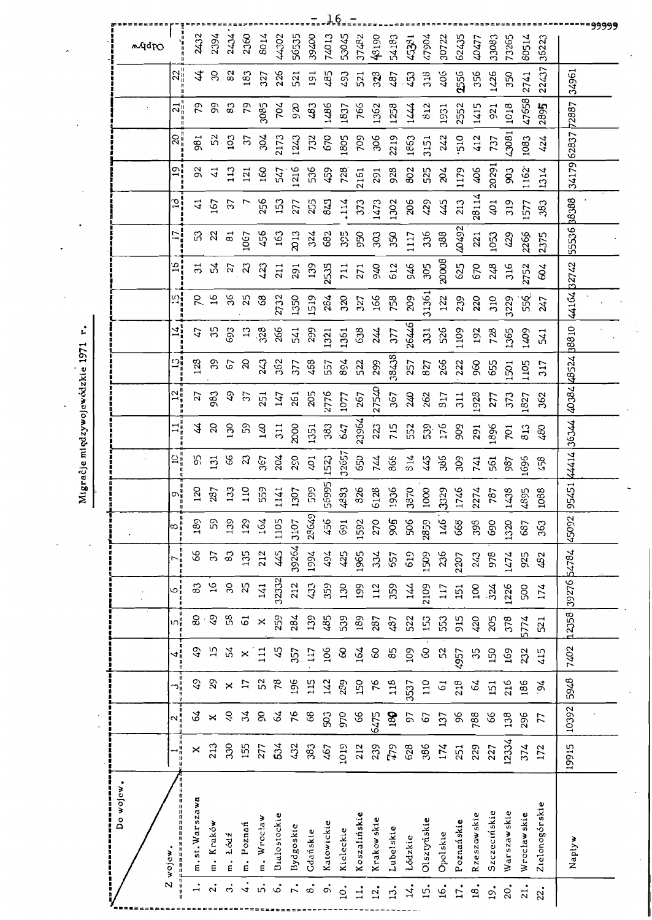| <b>MAdPO</b>            |                      | 2432           | 2394                  | 2434                  | 2360                  | 8014           | 44302                                             | 56535            | 39400            | 74013              | 53045            | 37482                    | 48190             | 54183                                     | 45331   | 47904                                         | 30722          | 62435            | 40477           | 33083        | 73265           | 80514         | 36223          |                   |  |
|-------------------------|----------------------|----------------|-----------------------|-----------------------|-----------------------|----------------|---------------------------------------------------|------------------|------------------|--------------------|------------------|--------------------------|-------------------|-------------------------------------------|---------|-----------------------------------------------|----------------|------------------|-----------------|--------------|-----------------|---------------|----------------|-------------------|--|
|                         | $2\frac{1}{10}$      |                | 48°                   |                       | 183                   | 327            | 226                                               | $\overline{521}$ | 191              | 485                | 493              | 521                      | 32 <sup>3</sup>   |                                           | 45.3    | 318                                           | 406            | 2556             | 356             | 1/26         | 350             | 2741          | 22437          | 34961             |  |
|                         | $\tilde{\mathbf{v}}$ |                |                       | 2332                  |                       | 3085           | 704                                               | 8g               | 43               | 1486               | 1837             | 766                      | 1362              | 1258                                      | 1444    | 812                                           | 1931           | 2552             | 1415            | 921          | 1018            | 47658         | 2895           | 62837 72887       |  |
|                         | ្ត្រី                | 981            |                       | $5\cdot 5$            | 57                    | 304            | 2173                                              | 1243             | 732<br>670       |                    | 1805             | 709                      | 306               | 2219                                      |         | 1863<br>3151                                  |                | $242$<br>$510$   | 412             | 737          | 4308            | 1083          | 424            |                   |  |
|                         | ညူ                   |                |                       |                       | $\overline{121}$      |                | 5 31                                              | 1216             |                  | 536<br>459         | 728              | 2161                     | <b>291</b><br>928 |                                           | 802     | 525                                           | 204            | 1179             | 406             | 20291        | 83              | 1162          | 1314           | 34179             |  |
|                         | ic<br>≌              | $\frac{1}{2}$  | 167                   | $\mathfrak{L}$        |                       | 256            | 153                                               | 277              | $25\overline{5}$ | 825                | .114             | 373<br>1473              |                   | 1302                                      | 206     | 29                                            | 45             | 213              | 28114           | $401$        | 319             | 1577          | 383            | 38388             |  |
|                         | ë_                   |                |                       | 32 2 3 2<br>2067      |                       | 456            | $\begin{array}{c} 163 \\ \text{2013} \end{array}$ |                  |                  | $324$<br>$682$     | 325              | 950                      | 303               | 350                                       | 1117    | 336                                           | 388            | 40492            | 221             | 1053         | 43              | 2266          | 2375           | 55536             |  |
|                         | ام<br>آ              |                |                       | <u>ង ង ង 'ង</u>       |                       | 423            | 211                                               | 291              | 139              | 2535               | 711              |                          | 271<br>940        | 612                                       |         | <b>346</b><br>305                             | 20008          | 625              | 670             | 248          | 316             | 2752          | 604            | 44164 32742       |  |
|                         | ង៉ូ                  |                | P. 9                  | $\frac{5}{25}$        | 25                    | $\mathcal{S}$  | 2732                                              | 1350             | 1519             | 284                | 320              |                          | 327<br>166<br>758 |                                           | 209     | 31361                                         | 122            | 239              | 220             | 310          | 3229            | 556           | 247            |                   |  |
|                         | $\overline{7}$       | 47             | 55                    | හි                    |                       | 13.88          |                                                   | 541              | 299              | 1321<br>1361       |                  |                          | <b>334377</b>     |                                           | 26446   | 331                                           |                | 1109             | 192             | 728          | 1365            | 1409          | 541            |                   |  |
|                         | ာ့၊                  | 123            |                       | $353$                 |                       | $2\angle 3$    | 362                                               | 377<br>468       |                  |                    |                  | 557<br>894<br>522<br>529 |                   | 38438                                     |         | 257<br>827                                    | 266            | 222              | 500             | 655          | $\overline{50}$ | 1105          | 317            | 40384 48524 38810 |  |
|                         | $\Xi$                | 27             | ඉි                    |                       | 37                    | <u>ន</u> ា     | 147                                               | 261              | 205              | 2776               | 1077             | 267                      | 27540             | 367                                       | 240     | 262                                           | 817            | $\overline{311}$ | 1928            | 277          | 573             | 1827          | 362            |                   |  |
|                         | ≍į̇̀                 |                | $\frac{4}{3}$ g       | 130                   | 59                    | $\overline{2}$ | 311                                               | 2000             | 1351             | 383                | 647              | 23964                    |                   | $\begin{array}{c} 223 \\ 715 \end{array}$ |         | $\begin{array}{c} 53 \\ 53 \\ 17 \end{array}$ |                | 909              | 291             | 1896         | $\overline{p}$  | 813           | $\mathscr{E}$  | 14414 36344       |  |
|                         | ក្នុ                 |                | 95<br>131             | <b>&amp;  ನ</b>       |                       | 367            | 204                                               | 250              | 401              | 1523               | 32657            | 650                      | 744               | 866                                       | 814     | 445                                           | 386            | 309              | 741             | 561          | 987             | 1696          | 58             |                   |  |
|                         | ား                   | 120            | 287                   | 133                   | 110                   | 559            | 1141                                              | 1307             | 599              | 56995              | 4833             | 826                      | 6128              | 1936                                      | 3870    | 1000                                          | 3329           | 1746             | 2274            | 787          | 1438            | 4895          | 1088           | 95451             |  |
|                         | $\approx$            | 189            | ္တ                    | 139                   | 129                   | 164            | 1105                                              | 3107             | 28649            | 456                | 691              | 1592                     | 270               | 905                                       | 506     | 2859                                          | 146            | 668              | 393             | 690          | 1320            | 687           | 363            | 45092             |  |
|                         |                      | 99             | 57                    | 83                    | 135                   | 212            | 45                                                | 39254            | 1994             | 494                | 425              | 1965                     | 334               | 657                                       | 619     | 1509                                          | 236            | 2207             | 243             | 978          | 1474            | 925           | 482            | 54784             |  |
|                         | ∥ہ                   | 83             | $\mathfrak{a}$        | $\mathcal{S}^{\circ}$ | 25                    | 141            | 32332                                             | 212              | 433              | 359                | 130              | 199                      | 112               | 359                                       | 144     | 2109                                          | 117            | $\overline{15}$  | 50 <sub>0</sub> | 324          | 1226            | 500           | 174            | 39276             |  |
|                         | ោំ                   | $8^{\circ}$    | $\mathcal{Q}$         | $58\,$                | $\overline{61}$       | $\times$       | 259                                               | 284              | 139              | 485                | 539              | 189                      | 287               | 437                                       | 522     | 153                                           | 553            | 915              | 420             | 205          | 378             | 5774          | 521            | 12358             |  |
|                         | ₹"                   | 49             | $\overline{1}$        | 24                    | $\boldsymbol{\times}$ | $\frac{1}{11}$ | $\sqrt{3}$                                        | 357              | 117              | 106                | 8                | 164                      | $\infty$          | 85                                        | 109     | $\infty$                                      | ន              | 4957             | చ్ర             | 50           | 169             | 232           | 415            | 7402              |  |
|                         | ין<br>⊪              | 49             | $\mathfrak{L}$        | $\pmb{\times}$        | $\overline{17}$       | $52\,$         | 78                                                | 196              | 115              | 142                | 289              | 150                      | 76                | 118                                       | 3537    | 110                                           | $\overline{6}$ | 218              | 2               | 151          | 216             | 186           | $\approx$      | 5948              |  |
|                         | ៷¦                   | $\mathcal{S}$  | $\boldsymbol{\times}$ | $\mathcal{Q}$         | 34                    | 8              | $\mathfrak{L}$                                    | 76               | 68               | 503                | 970              | SS                       | 6475              | 180                                       | 50      | 67                                            | 137            | 96               | 788             | 89           | 138             | 296           | 77             | 10392             |  |
|                         | "י<br>"              | ×              | 213                   | 330                   | 155                   | 277            | 534                                               | 432              | 383              | 467                | 1019             | 212                      | 239               | $\epsilon t$                              | 628     | 386                                           | 174            | 251              | 229             | 227          | 12334           | 374           | 172            | 19915             |  |
| Do wojew.<br>wojaw      |                      | m.st. Warszawa | m. Kraków             | m. Łódź               | m. Poznań             | m. Wrocław     | <b>Bialostockie</b>                               | Bydgoskie        | Gdańskie         | Katowickie         | Kicleckie        | Koszalińskie             | Krakow skie       | Lubelskie                                 | Lódzkie | Olsztyńskie                                   | Opolskie       | Poznańskie       | Rzeszowskie     | Szczecińskie | Warszawskie     | Wrocławskie   | Zielonogórskie | Naplyw            |  |
| $\overline{\mathsf{N}}$ |                      |                | $\ddot{\sim}$         | $\ddot{5}$            | $\ddot{ }$            | ဟ် ဖ           |                                                   | $\mathbf{r}$ .   | $\dot{\circ}$    | $\mathring{\circ}$ | $\overline{a}$ . | $\frac{1}{11}$           | 12.               | $\ddot{2}$                                | 14.     | $15.$                                         | 16.            | 17.              | 18.             | 19.          | 20.             | $\frac{1}{2}$ | 22.            |                   |  |

Migračje międzywojewódzkie 1971 r.

 $16 -$ 

 $\overline{\phantom{0}}$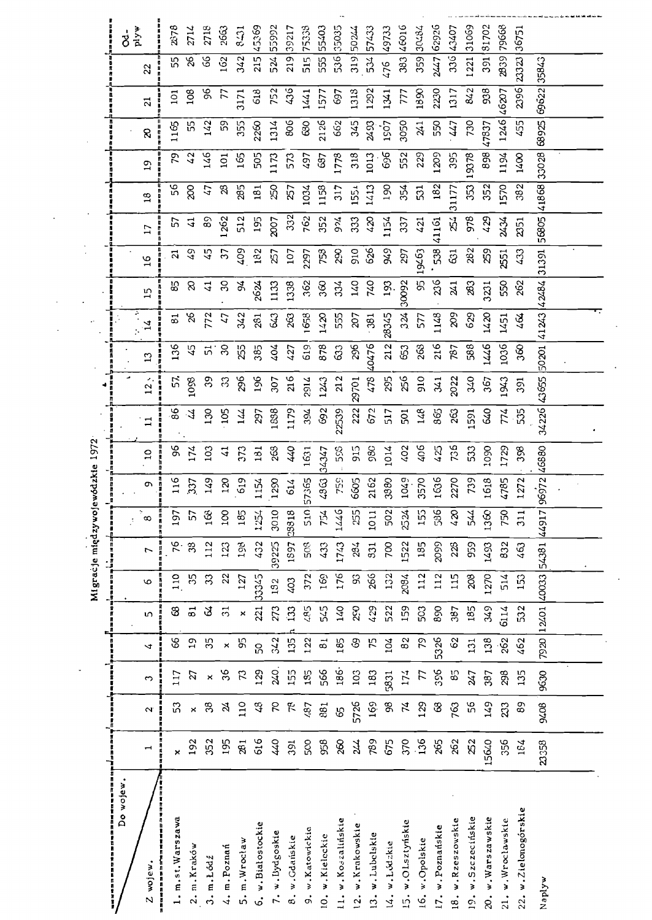| plyw<br>$\dot{8}$                                   | 2378                     | $\overline{271}$ | 2718             | 3663           | $\ddot{2}$                | 45369                     | 55992           | 39217         | 75338            | 55403           | 35035          | 50244            | 57433            | 49733               | 46016             | 30484             | 62926             | 43407             | 31069               | 81702             | 79668             | 36751                |                  |  |  |
|-----------------------------------------------------|--------------------------|------------------|------------------|----------------|---------------------------|---------------------------|-----------------|---------------|------------------|-----------------|----------------|------------------|------------------|---------------------|-------------------|-------------------|-------------------|-------------------|---------------------|-------------------|-------------------|----------------------|------------------|--|--|
| 22                                                  | ង្ហ                      | 82               | SS               | 162            | 342                       | 215                       | 524             | 219           | 515              | 555             | 536            | 319              | 534              | 476                 | 383               | 359               | 2447              | 336               | 1221                | 391               | 2839              | 23323                | 35843            |  |  |
| $\overline{2}$                                      | $\overline{5}$           | 108              | 96               | 77             | 3171                      | 618                       | 752             | 436           | 1441             | 1577            | 697            | 1318             | 1292             | 1341                | 777               | 1890              | 2230              | 1317              | 842                 | 938               | 46207             | 2396                 | 69622            |  |  |
| 8                                                   | 1165                     | ង                | 142              | ္ပြ            | 355                       | 2260                      | 1314            | 806           | 60               | 2126            | 662            | 345              | 24.93            | 1907                | 3050              | $\overline{z}$    | 55                | 447               | 730                 | 47837             | 1246              | 455                  | 68925            |  |  |
| $\overline{a}$                                      | 79                       | $\sqrt{2}$       | 146              | $\overline{5}$ | 165                       | 505                       | 1173            | 573           | 497              | 697             | 1778           | 318              | 1013             | 696                 | 552               | 229               | 1209              | 395               | 9378                | 898               | 1194              | 1400                 | 33028            |  |  |
| 18                                                  | 95                       | $8^{\circ}$      | 17               | ಇ              | 285                       | 181                       | 250             | 257           | 1034             | 1158            | 317            | $\ddot{5}$       | 1413             | $\frac{1}{2}$       | 354               | $\vec{a}$         | 182               | 31177             | 33                  | 352               | 570               | 382                  | 41868            |  |  |
| $\overline{17}$                                     | $5^{\circ}$              | $\overline{a}$   | $\boldsymbol{g}$ | 1262           | 512                       | 195                       | 2007            | 332           | 762              | 352             | 924            | 333              | $\mathcal{Z}$    | 1154                | 337               | 421               | 41161             | žž                | 978                 | 429               | 24.34             | 25                   | 56805            |  |  |
| $\frac{6}{1}$                                       | $\overline{\mathcal{L}}$ | 67               | $\sqrt{2}$       | 57             | 409                       | 182                       | 257             | 107           | 2297             | 758             | 290            | 910              | 626              | 949                 | 297               | 9463              | 538               | $\ddot{6}$        | 282                 | 259               | <b>251</b>        | 433                  | 31391            |  |  |
| 10                                                  | 85                       | $\approx$        | $\overline{4}$   | $\infty$       | 24                        | 2624                      | 1133            | 1338          | 362              | 360             | 334            | 140              | 740              | $\frac{193}{30092}$ |                   | 95                | 236               | $\overline{24}$   | 283                 | 3231              | 550               | 262                  | 42484            |  |  |
|                                                     | $\overline{6}$           | $\%$             | 772              | $\overline{z}$ | 342                       | 281                       | 3               | 263           | 1658             | 1420            | 555            | 207              | $\ddot{3}$       | 28345               | 324               | 577               | 1148              | 209               | 629                 | 1420              | 1451              | 464                  | 41243            |  |  |
| $\mathbf{C}$                                        | 136                      | 45               |                  | 2.8            | 255                       | 385                       | 404             | 427           | 619              | 878             | 633            | 296              | 40476            | 212                 | 653               | 263               | 216               | 787               | 588                 | 1446              | 1036              | 3 <sub>80</sub>      | 50201            |  |  |
| 12 <sub>1</sub>                                     | 57                       | 1098             | 39               | S              | 296                       | 196                       | 307             | 216           | 2914             | 1243            | 212            | 29701            | 478              | 295<br>256          |                   | 910               | 341               | 2022              | 340                 | 367               | 1943              | 391                  | 43655            |  |  |
| $\Xi$                                               | 86                       | A,               | 30               | $-105$         | $\frac{1}{4}$             | 297                       | 1838            | 1179          | 394              | 692             | 22539          | 222              | 672              | 517                 | 501               | 148               | 865               | 263               | 1591                | <b>640</b>        | $774$<br>535      |                      | 34226            |  |  |
| $\overline{10}$                                     |                          | 96<br>174        | 103              | $\ddot{4}$     | 373                       | 181                       | 263             | 40            | 1631             | 54347           | 59             | 915              | 980              | 1014                | 402               | 406               | 425               | 736               | 533                 | 1090              | 1729              | 398                  | 46880            |  |  |
| Q                                                   | 116                      | 337              | 149              | 120            | 619                       | 1154                      | 1290            | 614           | 57365            | 4363            | 759            | 6605             | 2162             | 3880                | 1049              | 3570              | 1636              | 2270              | 739                 | 1618              | 4785              | 1272                 | 96972            |  |  |
| ္ခ်ီ                                                | n<br>N<br>197            | 57               | 168              | 100            | 185                       | 1254                      | 3010            | 23318         | 510              | 754             | 1446           | 255              | 1011             | 502                 | 2524              | 155               | 586               | 420               | 544                 | 1360              | 750               | 311                  |                  |  |  |
| $\overline{ }$                                      | 76.                      | 33               | 112              | 123            | 198                       | 432                       | 39225           | 1897          | 508              | 433             | 1743           | 284              | 331              | 500                 | 1522              | 185               | 2099              | 225               | 959                 | 1493              | 832               | 463                  | 54381 44917      |  |  |
| O                                                   | 110                      | ္ကာ              | 33               | 22             | 127                       | 33345                     | 132             | 403           | 372              | 169             | 176            | S                | 266              | 132                 | 2084              | 112               | 112               | 115               | 208                 | 1270              | 514               | 153                  |                  |  |  |
| $\overline{10}$                                     | 3                        | $\overline{a}$   | Ą,               | $\overline{5}$ | $\boldsymbol{\mathsf{x}}$ | 221                       | 273             | 133           | 485              | 545             | 140            | 290              | 429              | 522                 | 159               | 503               | 890               | 387               | $185$               | 349               | 6114              | 532                  | 7920 12401 40033 |  |  |
| 4                                                   | 89                       | $\overline{a}$   | 55               | $\pmb{\times}$ | မွာ                       | ႙                         | 342             | 135           | 122              | $\vec{a}$       | 185            | $\odot$          | 75               | 104                 | 82                | 56                | 5326              | $\mathcal{S}$     | 131                 | 138               | 262               | 462                  |                  |  |  |
| S                                                   | 117                      | 27               | $\pmb{\times}$   | 36             | $\mathcal{L}$             | 129                       | 240             | 155           | 135              | 566             | $186 -$        | 103              | 183              | 5831                | 174               | 77                | 396               | $\frac{1}{2}$     | 247                 | 387               | 298               | 135                  | 9630             |  |  |
| 2                                                   | S3                       | ×                | 38               | K              | 110                       | $\mathfrak{A}$            | R               | لخ            | 487              | 881             | 9              | 5726             | 169              | 98                  | Z4                | 129               | $\mathcal{S}$     | 763               | ზე                  | 149               | 233               | 89                   | 9408             |  |  |
|                                                     |                          | 192              | 352              | 195            | 281                       | 616                       | 440             | 391           | 500              | 958             | 260            | $\frac{1}{4}$    | 789              | 675                 |                   | $370$<br>$136$    | 265               | 262               | 252                 | 5640              | 356               | 184                  | 23358            |  |  |
| Do wojew.<br><b>我们的时候的时候我们的时候,我们的时候</b><br>Z wojew. | 1. m.st. Warszawa<br>i   | 2. m.Kraków      | 3. m.16dz        | 4. m. Poznań   | 5. m. Wrocław             | w. Bialostockie<br>.<br>ف | 7. w. Bydgoskie | 8. w.Gdańskie | 9. w. Katowickie | 10. w.Kieleckie | w.Koszalińskie | 12. w.Krakowskie | 13. w. Lubelskie | 14. w. Lódzkie      | 15. w.Olsztyńskie | w.Opolskie<br>16. | 17. w. Poznańskie | 18. w.Rzeszowskie | 19. w. Szczecińskie | 20. w.Warszawskie | 21. w.Wroclawskie | 22. w.Zielonogórskie | Waplyw           |  |  |

 $\ddot{\phantom{0}}$ 

 $\ddot{\phantom{0}}$ 

 $\ddot{\phantom{0}}$ 

Migracje międzywojewódzkie 1972

 $\ddot{\phantom{0}}$ 

 $\ddot{\phantom{0}}$ 

 $\frac{1}{2}$ 

 $\ddot{\cdot}$ k.

 $\frac{1}{2}$ 

 $\ddot{\cdot}$ 

 $\ddot{\cdot}$ 

 $\ddot{\phantom{a}}$ 

 $\ddot{\phantom{a}}$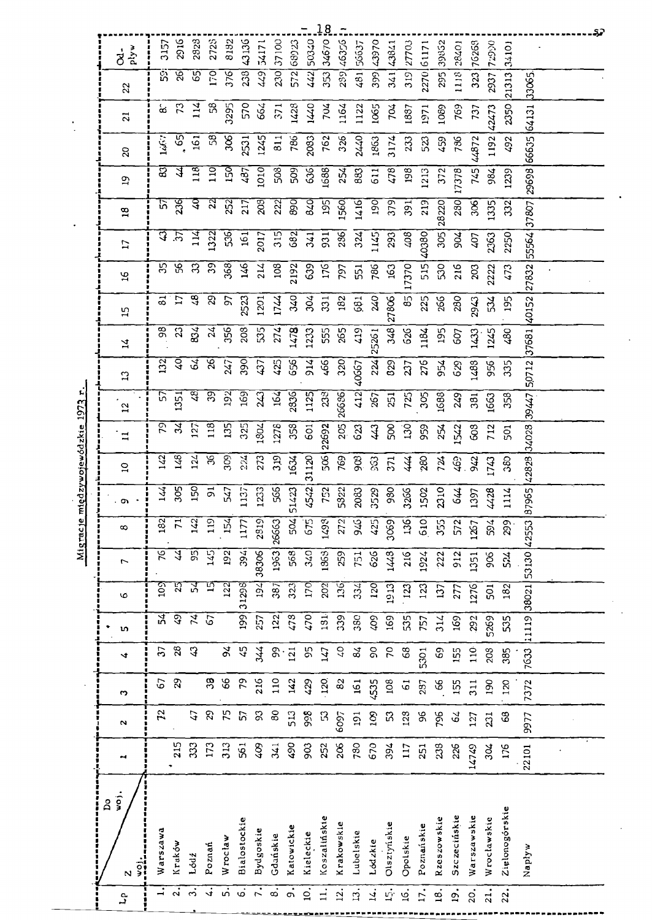|                 |                  |                            |                     |                            |                |                |                |                |                |                      | <u> 18</u>      |               |                   |                 |                 |                 |                   |                   |                 |                  |                 |                |                   |  | şЗ |
|-----------------|------------------|----------------------------|---------------------|----------------------------|----------------|----------------|----------------|----------------|----------------|----------------------|-----------------|---------------|-------------------|-----------------|-----------------|-----------------|-------------------|-------------------|-----------------|------------------|-----------------|----------------|-------------------|--|----|
| pływ<br>8       | 3157             | 2916                       | 2828                | 2728                       | 8182           | 43136          | 54171          | 37100          | 68923          | 50340                | 34670           | 46356         | 56637             | 43970           | 43841           | 27703           | 61171             | 39852             | 28401           | 76268            | 72990           | 34101          |                   |  |    |
| 22              |                  | <u>್ಷ ಶ</u>                | 65                  | 170                        | 376            | 238            | 449            | 20             | 572            | 442                  | 353             | 239           | 481               | $\overline{39}$ | 341             | 319             | 22701             | 295               | 1118            | 323              | 2937            | 21313          | 23065             |  |    |
| $\overline{c}$  | ်ထ               | 73                         | 114                 | 58                         | 3295           | 570            | 664            | 371            | 1428           | 1440                 | 704             | 1164          | 1122              | 1065            | 704             | 1887            | 1971              | 1089              | 769             | 737              | 42473           | 2350           | 64131             |  |    |
| $\Omega$        | ίŵ,              | $\frac{65}{1}$             | 161                 | $58$                       | 305            | 2531           | 1245           | 811            | 786            | 2083                 | 762             | 326           | 2440              | 1863            | 3174            | 233             | 523               | 459               | 786             | 4872             | 1192            | 492            | 66635             |  |    |
| 5               | 83               | 4                          | 118                 | 110                        | 150            | 487            | 1010           | 508            | 509            | 636                  | 1688            | 254           | 883               | 611             | 478             | 198             | 1213              | 372               | 17378           | 745              | 984             | 1239           | 29698             |  |    |
| $\mathbf{a}$    |                  | 57<br>236                  | $\beta$             | $\tilde{z}$                | 252            | 217            | 203            | 222            | 890            | 820                  | 195             | 1560          | 1416              | 190             | 379             | 391             | 219               | 28220             | 230             | 306              | 1335            | 332            |                   |  |    |
| 17              |                  | 325                        | $\overline{11}$     | 322                        | 55             | 161            | 2017           |                | $315$<br>$582$ | 341                  | 931             | 286           | 324               | 1145            | 293             | 408             | 40380             | 305               | 904             | 407              | 2363            | 2250           | 55564 37807       |  |    |
| $\overline{9}1$ |                  | ង ន ន                      |                     | 39                         | 368            | 146            | 214            | 108            | 2192           | 639                  | 176             | 797           | 55 <sub>1</sub>   | 786             | $\overline{15}$ | 17370           | 515               | 50                | 216             | 203              | 2222            | 473            | 27832             |  |    |
| $\frac{1}{2}$   |                  | 379                        |                     | $\boldsymbol{\mathcal{S}}$ | $\overline{5}$ | 2523           | 1201           | 1744           | 340            | 304                  | 331             | 182           | 681               | $\frac{240}{5}$ | 27806           | 85              | 225               | 266               | 280             | 2943             | 54              | 195            | 40152             |  |    |
| $\overline{14}$ |                  | <u>ສ</u> ຸລ                | 834                 | $\frac{2}{4}$              | 356            | 203            | 535            | 274            | 1478           | 1233                 | 555             | 265           | 419               | 25261           | 348             | 626             | 1184              | 195               | 607             | 1433             | 1245            | 480            | 37681             |  |    |
| 13              | 132              |                            |                     |                            | 247            | 390            | 437            | 425            | 656            | 914                  | 456             | 320           | 40667             | 224             | 029             | 237             | 276               | 954               | 629             | 1488             | 956             | 335            | 50712             |  |    |
| $\overline{12}$ |                  | $\frac{57}{1351}$          | क्ष                 | 39                         | 192            | 169            | $2\angle 3$    | 164            | 2836           | 1125                 | 23 <sup>3</sup> | 26636         | 412               |                 | $\frac{26}{31}$ | 725             | 305               | 1688              | 249             | 331              | 1663            | 358            | 39447             |  |    |
| $\mathbf{I}$    |                  | 34                         | 127                 | 118                        | 135            | 325            | $30\lambda$    | 1278           | 358            | $\overline{5}$       | 22692           | 205           | 623               | $\frac{4}{3}$   | 500             | 130             | 959               | 254               | 542             | 603              | 712             | 501            |                   |  |    |
| $\overline{a}$  | $\frac{3}{4}$    | 148                        | $12\lambda$         | 36                         | 309            | 224            | 273            | 319            | 1634           | 31120                | 506             | 769           | 903               | 553             | 571             | 444             | 280               | 724               | 469<br>942      |                  | 1743            | 380            | 42828 34028       |  |    |
| $\sigma$        | 14               | 305                        | 150                 | $\overline{5}$             | 547            | 1137           | 1233           | 56             | 51423          | 4542                 | 752             | 5822          | 2083              | 3529            | 980             | 3266            | 1502              | 2310              | 64              | 1397             | 4428            | 1114           | 87965             |  |    |
| 8               | 182              | $\overline{r}$             | 142                 | 119                        | 154            | 1177           | 2819           | 26663          | 504            | 675                  | 1498            | 272           | 946               | 425             | 3069            | 136             | <b>G10</b><br>355 |                   | 572             | 1267             | 594             | 299            |                   |  |    |
| $\overline{ }$  |                  | <b>とう</b>                  | 50                  | 145                        | 192            | 394            | 38306          | 1963           | 568            | 340                  | 1363            | 259           | 751               | 626             | 1443            | 216             | 1924              | 222               | 912             | 1351             | 906             | 54             | 38021 53130 42553 |  |    |
| ю               | 109              | ্ৰহ                        | $\mathcal{R}$       | ដ្ន                        | 122            | 31298          | $\frac{5}{4}$  | 387            | 323            | 170                  | 202             | 136           | 334               | 120             | 1913            | 123             | 123               | 137               | 277             | 1276             | 501             | 182            |                   |  |    |
| m               | 24.              | $\mathcal{L}$              | $74$<br>67          |                            |                | 199            | 257            | 122            | 478            | 470                  | 131             | 339           | 380               | 409             | 169             | 535             | 757               | 314               | 169             | 292              | 5269            | 535            | 1119              |  |    |
| ෑ               | $\mathfrak{L}$   | 28                         | $\mathcal{C}$       |                            | $\frac{5}{4}$  | $\mathfrak{L}$ | 344            | 9.21           |                | 56                   | 147             | $\mathcal{C}$ | $\approx$         | $80$            | $\mathcal{L}$   | 68              | 5301              | 9                 | 15 <sup>2</sup> | $\overline{110}$ | 203             | 385            | 7633              |  |    |
| က               | 67               | $\boldsymbol{\mathcal{S}}$ |                     | 38                         | 99             | $\mathcal{E}$  | 216            | $\frac{10}{2}$ | 142            | 429                  | 120             | 82            | $\overline{5}$    | 4535            | 501             | $\mathbf{61}$   | 237               | <b>66</b>         | 155             | 311              | 190             | 120            | 7372              |  |    |
| N               | $\mathfrak{z}_2$ |                            | 47                  | 8                          | 75             | 5              | $\mathfrak{S}$ | 80             | 513            | 998                  | S               | 6097          | $\overline{5}$    | $\overline{5}$  | S               | 128             | ೫                 | 796               | 2               | $\overline{127}$ | $\overline{21}$ | 89             | 9977              |  |    |
|                 |                  | 215                        | 333                 | 173                        | 313            | <b>561</b>     | 409            | 341            | 490            | 903                  | 252             | 206           | 780               | 670             | 394             | $\overline{11}$ | $\overline{5}$    | 33                | 226             | 14749            | 304             | 176            | 22101             |  |    |
| yoj.            |                  |                            |                     |                            |                |                |                |                |                |                      |                 |               |                   |                 |                 |                 |                   |                   |                 |                  |                 |                |                   |  |    |
| $\mathtt{a}$    |                  |                            |                     |                            |                |                |                |                |                |                      |                 |               |                   |                 |                 |                 |                   |                   |                 |                  |                 |                |                   |  |    |
|                 | Warszawa         | Kraków                     | Lodź                | Poznań                     | Wrocław        | Bialostockie   | Bydgoskie      | Gdańskie       | Katowickie     | Kieleckie            | Koszalińskie    | Krakowskie    | Lubelskie         | Lódzkie         | Olsztyńskie     | Opolskie        | Poznańskie        | Rzeszowskie       | Szczecińskie    | Warszawskie      | Wrocławskie     | Zielonogórskie | Napływ            |  |    |
| οj              |                  | $\frac{1}{2}$ .            |                     |                            |                |                |                |                |                |                      |                 |               |                   |                 |                 |                 |                   |                   |                 |                  |                 |                |                   |  |    |
| $\mathbf{r}$    |                  |                            | $\vec{a}$ $\vec{v}$ |                            |                | $\omega$       | 7.8            |                | $\dot{\circ}$  | $\dot{\mathbf{p}}$ . | $\overline{1}$  | $\ddot{2}$    | $\overline{13}$ . | 4.              | $\mathfrak{L}$  | 16.             | 17.               | $\overline{18}$ . | 19.             | 20.              | 21.             | 22.            |                   |  |    |

Migracje międzywojewódzkie 1973 r.

 $\frac{1}{2}$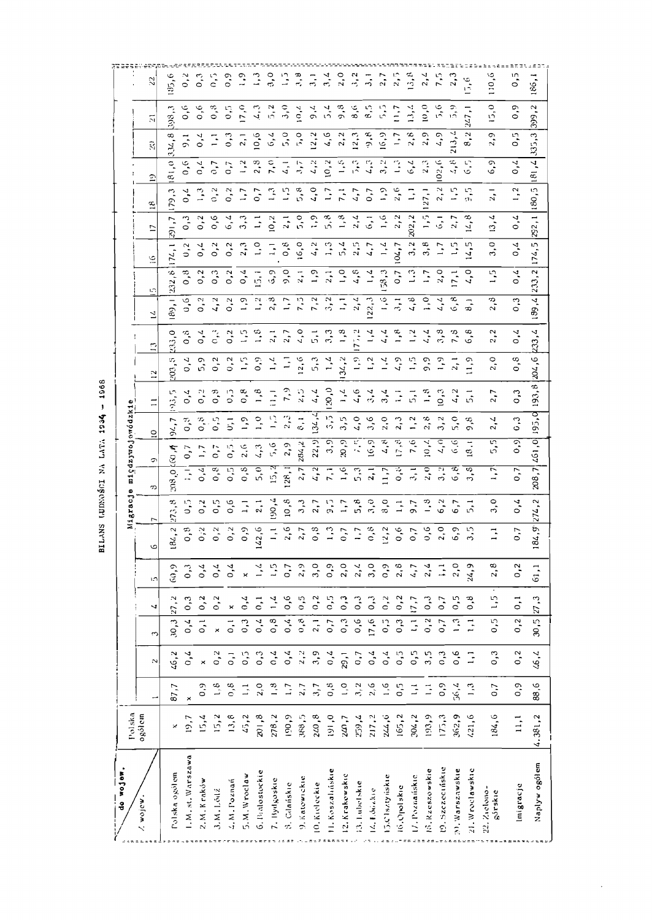BILANS LUDNOSCI NA LATA 1984 - 1968

| do wojew.               | Polska             |                                 |                             |                         |                    |                                                                                                        |                            |                  | Migracje międzywojewódzkie                                           |                                 |                 |                                 |                                                                       |                            |                                   |                                                                 |                            |                             |                               |                                      |                                           |                                                                                     |                |
|-------------------------|--------------------|---------------------------------|-----------------------------|-------------------------|--------------------|--------------------------------------------------------------------------------------------------------|----------------------------|------------------|----------------------------------------------------------------------|---------------------------------|-----------------|---------------------------------|-----------------------------------------------------------------------|----------------------------|-----------------------------------|-----------------------------------------------------------------|----------------------------|-----------------------------|-------------------------------|--------------------------------------|-------------------------------------------|-------------------------------------------------------------------------------------|----------------|
|                         | ogólem             |                                 | $\sim$                      | S                       | $\mathbf{v}$       | IЛ                                                                                                     | $\circ$                    |                  | က                                                                    |                                 | $\circ$         |                                 | N                                                                     | Ξ                          | 2                                 |                                                                 |                            |                             | $\tilde{\mathbf{r}}$          | ଛ                                    |                                           |                                                                                     | 22             |
| Polska ogółem           | ×                  | 87,7                            | 46,2                        | 30,3                    | 27, 2              | 60,9                                                                                                   |                            | 273.8            | 208,0                                                                | $\mathcal{N}$                   |                 |                                 | 203, 5                                                                | 233,0                      | $-69,1$                           | 232, 8                                                          |                            | 291,7                       | 79,3                          | 81,0                                 | 3.34, 8                                   | 398,3                                                                               | 35,6           |
| .M.st. Warszawa         | 19,7               |                                 | 0, 4                        | 0,4                     | 0,3                | $\ddot{\phantom{0}}$                                                                                   | $\ddot{\circ}$             | С.<br>О          | $\mathbb{R}$                                                         | $\mathfrak{c}$ , $\mathfrak{d}$ | $\tilde{\cdot}$ | 0, 4                            |                                                                       | $\mathfrak{S}^{\bullet}$   |                                   | 0, 8                                                            | $\frac{2}{\pi}$            |                             |                               |                                      |                                           |                                                                                     | $\frac{1}{2}$  |
| 2. M. Kraków            | 15,4               | 0,9                             | $\bar{\varkappa}$           |                         | 0,2                | 0,4                                                                                                    | $\frac{2}{3}$              | $\frac{2}{3}$    | 0, 4                                                                 |                                 |                 |                                 |                                                                       |                            | $\frac{3}{5}$ $\frac{2}{5}$       | 0,2                                                             |                            |                             | $\mathbb{R}$                  | $\frac{5}{2}$                        | $\frac{7}{5}$ $\frac{3}{5}$ $\frac{7}{5}$ |                                                                                     |                |
|                         | 15, 2              | $1, 8$                          |                             | $\overline{5}$ x        | 0,2                | 0,4                                                                                                    |                            | $\overline{0}$   | 0, 8                                                                 | 0,7                             | 3.5<br>0.0      | 0, 8                            |                                                                       | $\frac{4}{10}$             |                                   | $\circ$ , $\circ$                                               | 0, 2                       | 0, 2                        | 0, 2                          |                                      |                                           |                                                                                     | $\ddot{\cdot}$ |
| 4.M. Poznań             | $13, 8$            | 6,6                             | $\frac{2}{9}$ $\frac{2}{9}$ | $\overline{c}$          |                    |                                                                                                        |                            | $\frac{6}{5}$    | $\frac{15}{9}$                                                       | $\frac{15}{2}$                  | $\overline{5}$  | $\overline{0}$ , $\overline{0}$ |                                                                       |                            | 4, 2                              | 0,2                                                             | 0,2                        | 6, 4                        | 0,2                           | $\overline{c}$                       |                                           |                                                                                     | $\frac{5}{2}$  |
| 5.M.Wroclaw             | 45,2               | $\mathbb{I}^1$                  |                             |                         | 0,4                | $\star$                                                                                                |                            | 도                | 0, 8                                                                 | 2, 6                            |                 | 0,8                             |                                                                       | 3.58                       | $\frac{1}{2}$                     | 0, 4                                                            | 2,3                        | 3,3                         | $\mathbb{Z}^2$                | $\frac{2}{2}$ , $\frac{3}{2}$        |                                           |                                                                                     | $\ddot{\cdot}$ |
| 6. Dalostockie          | 201,8              | 2,0                             |                             | $3, 4, 8$<br>$0, 6, 6$  | $\ddot{\circ}$     |                                                                                                        | 142,6                      |                  |                                                                      | $\mathcal{L}, 3$                | 1, 0            | 1,8                             |                                                                       |                            | $\frac{2}{1}$                     | $\frac{1}{12}$                                                  | $\frac{1}{2}$              | Ξ                           | 0,7                           |                                      |                                           |                                                                                     | $\mathbf{r}$   |
| 7. Hydgoskie            | 278,2              | $\ddot{ }$ .                    |                             |                         | 1.4                | $\frac{5}{2}$                                                                                          | $\mathbb{I}^{\mathbb{I}}$  | $2, 1$<br>190,4  | $5,0$<br>$15,2$                                                      |                                 | 읓               | $\frac{1}{2}$                   | 1,4                                                                   | $\frac{1}{2}$              | 2,3                               |                                                                 | $\mathbb{I}$               | $101$ <sup>2</sup> .        |                               | 7,0                                  |                                           |                                                                                     |                |
| 8. Gdańskie             | 190, 9             | $\mathbb{Z}$                    |                             | 0,4                     | 0,6                |                                                                                                        |                            | 10, 8            | $\ddot{x}$                                                           |                                 | 2,3             | $\mathcal{L}_{\mathcal{L}}$     | Ξ                                                                     | 2,7                        | $\ddot{1}$                        |                                                                 |                            | $\frac{1}{2}$ , 0           |                               | $\overline{4,1}$                     |                                           |                                                                                     |                |
| 9. Katowickie           | 388,5              | 2,7                             |                             | 0,8                     | $\frac{5}{2}$      | $0,7$<br>$2,9$                                                                                         | $2, 7$<br>$2, 7$<br>$0, 8$ | 3.3              |                                                                      |                                 | $\tilde{\cdot}$ | $\frac{5}{2}$                   | 12,6                                                                  | $^{2}$                     |                                   |                                                                 | $0,6$<br>$16,0$            |                             |                               | $3, 2$<br>$4, 2$<br>$1, 5$<br>$5, 3$ |                                           |                                                                                     |                |
| 0. Kieleckie            | $8^{107}$          |                                 |                             |                         | 0,2                |                                                                                                        |                            |                  |                                                                      |                                 | 134.7           | 4, 4                            | 5,3                                                                   | $\overline{5}$             |                                   |                                                                 | 4, 2                       | $\ddot{.}$                  |                               |                                      |                                           |                                                                                     |                |
| I. Koszalińskie         | 191,0              |                                 |                             | $2,7$<br>$0,7$<br>$0,3$ | $\rm ^{0,5}$       |                                                                                                        | $\frac{1}{2}$ , 7          | $2, 7$<br>$9, 7$ |                                                                      |                                 |                 | 20,0                            | $1,4$<br>34,2                                                         | $3, 3$<br>$1, 3$           |                                   |                                                                 | $1, 3$<br>$5, 4$<br>$2, 5$ | 5.8                         | $\frac{1}{7}$ , $\frac{7}{4}$ |                                      |                                           |                                                                                     |                |
| 12. Krakowskic          | 240,7              |                                 |                             |                         | $\ddot{o}$         |                                                                                                        |                            | $\frac{1}{2}$    |                                                                      |                                 | 3,5             |                                 |                                                                       |                            |                                   |                                                                 |                            |                             |                               |                                      |                                           |                                                                                     |                |
| 13. Lubelskie           |                    | $3.78022$<br>$-3.26$            |                             | 0,6                     | $\ddot{o}$         |                                                                                                        |                            |                  |                                                                      |                                 |                 |                                 |                                                                       | (77.2)                     |                                   | $\frac{1}{4}$ , $\frac{6}{1}$<br>$\frac{1}{2}$<br>$\frac{3}{2}$ |                            | $\frac{3}{2}$ , 4<br>6, 1   |                               |                                      |                                           |                                                                                     |                |
|                         | $259,4$<br>$217,2$ |                                 |                             | 17,6                    | $\ddot{o}$ , 3     |                                                                                                        | $1,7$<br>0,8               |                  |                                                                      |                                 |                 |                                 |                                                                       |                            |                                   |                                                                 |                            |                             | 0,7                           | $\mathcal{L}, \mathcal{I}$           |                                           |                                                                                     |                |
| 15.Clsztyńskie          | 244,6              |                                 |                             | $\overline{0}$          | 0,2                | $\begin{array}{c} 0 & 0 & 0 & 0 & 0 & 0 \\ 0 & 0 & 0 & 0 & 0 & 0 \\ 0 & 0 & 0 & 0 & 0 & 0 \end{array}$ | 12, 2                      | 5.30             | $2,7$<br>$4,7$<br>$5,3$<br>$1,6$<br>$1,7$<br>$1,7$<br>$1,7$<br>$0,8$ |                                 |                 |                                 | $\frac{3}{4}$ $\frac{3}{4}$ $\frac{3}{4}$ $\frac{4}{4}$ $\frac{3}{4}$ | $1, 4$<br>$4, 4$<br>$1, 8$ |                                   |                                                                 | $4.7$<br>1.4<br>04,7       | $\frac{6}{2}$ , 2           | $\tilde{c}$                   | 3 <sup>2</sup>                       |                                           |                                                                                     |                |
| <b>16. Opolskie</b>     | 165, 2             | $1,6$<br>0,5                    |                             | 0,3                     | 0,2                |                                                                                                        | 0,6                        | $\frac{1}{2}$    |                                                                      |                                 | 2,3             | $\mathbb{R}$ $\vec{5}$          |                                                                       |                            |                                   | $\ddot{o}$                                                      |                            |                             | 2,6                           | $\mathbb{R}$                         |                                           |                                                                                     |                |
| 17. Poznańskie          | 304,2              | E                               |                             | $\mathbb{I}$            | 17,7               | 4,7                                                                                                    | $\sim$                     | 1.6              | $\overline{z}$                                                       |                                 | $\frac{2}{1}$   |                                 | $\frac{15}{9}$                                                        | $\frac{3}{2}$              | $4,8$<br>$1,0$<br>$4,4$           | $\frac{3}{4}$                                                   | 3, 3                       | 202,2                       | Ξ.                            | 6,4                                  | $2, 6$<br>$2, 9$                          | $\frac{1}{2}$ $\frac{3}{2}$ $\frac{5}{2}$ $\frac{6}{2}$ $\frac{6}{2}$ $\frac{8}{2}$ | $\frac{3}{2}$  |
| 18. Rzeszowskie         | 193,9              | $\mathbb{R}$                    |                             | 0,2                     | 0,3                | 2, 4                                                                                                   | $0, 6$<br>$2, 0$           | $-0.2$<br>$-0.6$ | 2,0                                                                  |                                 | 2,6             | $\frac{3}{10}$ .3               |                                                                       | 4, 3, 3, 5                 |                                   |                                                                 |                            | $\frac{1}{5}$ $\frac{1}{5}$ | 27,1                          | $\mathbb{C}^2$                       |                                           |                                                                                     | $^{2,2}$       |
| 19. Szczecińskie        | 175,3              | $\mathfrak{0}$ , $\mathfrak{0}$ |                             | $\ddot{o}$              | 0,7                |                                                                                                        |                            |                  | ာ<br>၁၀၀<br>၁၀                                                       |                                 | 3,2             |                                 | $\frac{3}{2}$ , $\frac{3}{4}$                                         |                            |                                   | 2,0                                                             | $\mathbf{L}$               |                             | 2, 2                          | 02,6                                 | 4,9                                       |                                                                                     | $\frac{15}{2}$ |
| Marszawskie             | 362,9              | 56,4                            | 0,6                         | $\mathbb{R}^2$          | 0,5                | $\frac{1}{2}$ , 0                                                                                      | 6,9                        |                  |                                                                      |                                 |                 | 4,2                             |                                                                       |                            | 6, 8                              | $\overline{1}$                                                  | $\frac{15}{2}$             | 2,7                         | $\mathbb{R}$                  | $\frac{3}{4}$                        | 13,4                                      |                                                                                     |                |
| 21. Wroclawskie         | 421,6              | $\ddot{ }$ .                    | $\frac{1}{2}$               | $\frac{1}{2}$           | $\ddot{\theta}$    | 24,9                                                                                                   | 3.5                        | $\overline{5}$   | 3, 5                                                                 | 13.1                            | 9, 6            |                                 | $\frac{5}{1}$                                                         | 6, 8                       | $\ddot{\theta}$ , $\ddot{\theta}$ | $^{2,0}$                                                        | 14,5                       | 14, 8                       | 昌                             | $\frac{1}{2}$                        | 8,2                                       | 247,1                                                                               |                |
| 22. Zielono-<br>górskie | 184,6              | 0,7                             | 0,3                         | 0,5                     | 1,5                | 2, 8                                                                                                   | $\frac{1}{2}$              | 3,0              | 1,7                                                                  | 5,5                             | 2, 4            | 2, 7                            | 2,0                                                                   | 2, 2                       | 2, 3                              | $\frac{1}{2}$                                                   | 3,0                        | 13, 4                       | $\frac{1}{2}$                 | 6, 9                                 | 2, 9                                      | 15,0                                                                                | 110,6          |
| Imigracje               | $11,\bar{1}$       | 0,9                             | 0,2                         | 0, 2                    | $\overline{0}$ , 1 | 0,2                                                                                                    | 0,7                        | 0, 4             | 0,7                                                                  | 0,9                             | $\ddot{o}$      | $\sigma$ <sub>3</sub>           | 0, 3                                                                  | 0, 4                       | 0,3                               | 0, 4                                                            | 0,4                        | 0, 4                        | $\frac{2}{1}$                 | 0, 4                                 | 0,5                                       | 0,9                                                                                 | 0,5            |
| Naplyw ogólem           | 4.381,2            | 88,6                            | 46, 4                       | $30,5$ $27,3$           |                    | 61,1                                                                                                   | 184, 9 274, 2              |                  |                                                                      | 208,7 461,0                     | 195.0           | 193, 8                          | 204, 6                                                                | 233,4                      | 139, 4                            | 233, 2 174, 5                                                   |                            | 22,1 180,5                  |                               |                                      | 181, 4 335, 3 399, 2                      |                                                                                     | 186,1          |
|                         |                    |                                 |                             |                         |                    |                                                                                                        |                            |                  |                                                                      |                                 |                 |                                 |                                                                       |                            |                                   |                                                                 |                            |                             |                               |                                      |                                           |                                                                                     |                |

 $\ddot{\phantom{0}}$